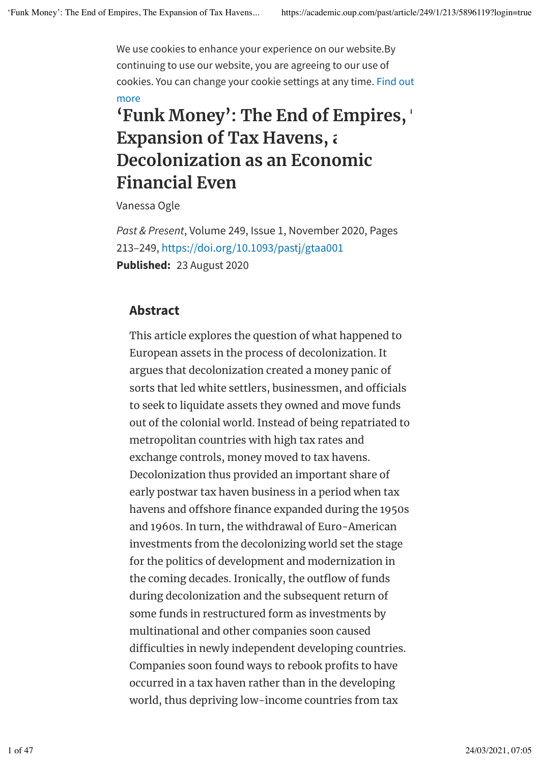We use cookies to enhance your experience on our website.By continuing to use our website, you are agreeing to our use of cookies. You can change your cookie settings at any time. Find out more

## **'Funk Money': The End of Empires, The Expansion of Tax Havens, and Decolonization as an Economic Financial Even**

Vanessa Ogle

*Past & Present*, Volume 249, Issue 1, November 2020, Pages 213–249, https://doi.org/10.1093/pastj/gtaa001 **Published:** 23 August 2020

## **Abstract**

This article explores the question of what happened to European assets in the process of decolonization. It argues that decolonization created a money panic of sorts that led white settlers, businessmen, and officials to seek to liquidate assets they owned and move funds out of the colonial world. Instead of being repatriated to metropolitan countries with high tax rates and exchange controls, money moved to tax havens. Decolonization thus provided an important share of early postwar tax haven business in a period when tax havens and offshore finance expanded during the 1950s and 1960s. In turn, the withdrawal of Euro-American investments from the decolonizing world set the stage for the politics of development and modernization in the coming decades. Ironically, the outflow of funds during decolonization and the subsequent return of some funds in restructured form as investments by multinational and other companies soon caused difficulties in newly independent developing countries. Companies soon found ways to rebook profits to have occurred in a tax haven rather than in the developing world, thus depriving low-income countries from tax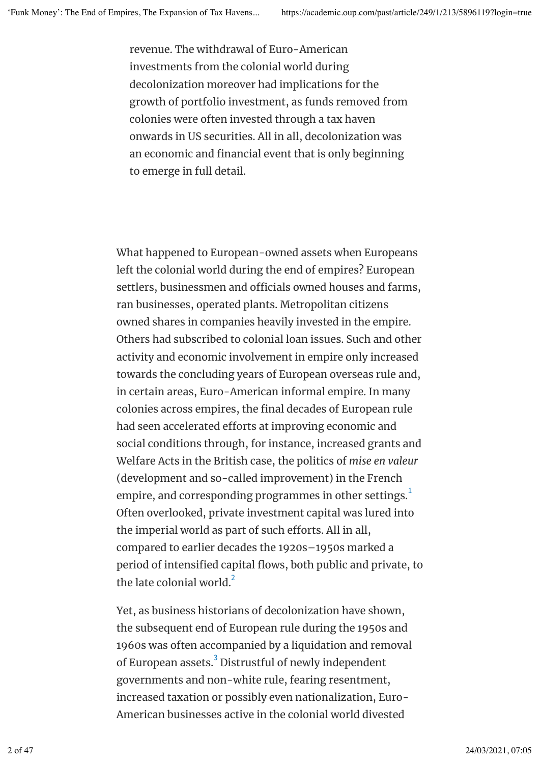revenue. The withdrawal of Euro-American investments from the colonial world during decolonization moreover had implications for the growth of portfolio investment, as funds removed from colonies were often invested through a tax haven onwards in US securities. All in all, decolonization was an economic and financial event that is only beginning to emerge in full detail.

What happened to European-owned assets when Europeans left the colonial world during the end of empires? European settlers, businessmen and officials owned houses and farms, ran businesses, operated plants. Metropolitan citizens owned shares in companies heavily invested in the empire. Others had subscribed to colonial loan issues. Such and other activity and economic involvement in empire only increased towards the concluding years of European overseas rule and, in certain areas, Euro-American informal empire. In many colonies across empires, the final decades of European rule had seen accelerated efforts at improving economic and social conditions through, for instance, increased grants and Welfare Acts in the British case, the politics of *mise en valeur* (development and so-called improvement) in the French empire, and corresponding programmes in other settings. $^{\rm 1}$ Often overlooked, private investment capital was lured into the imperial world as part of such efforts. All in all, compared to earlier decades the 1920s–1950s marked a period of intensified capital flows, both public and private, to the late colonial world.<sup>2</sup>

Yet, as business historians of decolonization have shown, the subsequent end of European rule during the 1950s and 1960s was often accompanied by a liquidation and removal of European assets. $^3$  Distrustful of newly independent governments and non-white rule, fearing resentment, increased taxation or possibly even nationalization, Euro-American businesses active in the colonial world divested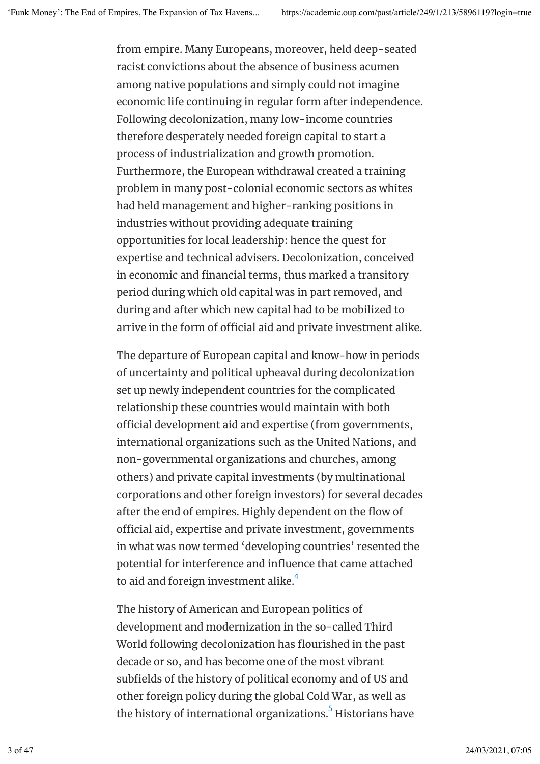from empire. Many Europeans, moreover, held deep-seated racist convictions about the absence of business acumen among native populations and simply could not imagine economic life continuing in regular form after independence. Following decolonization, many low-income countries therefore desperately needed foreign capital to start a process of industrialization and growth promotion. Furthermore, the European withdrawal created a training problem in many post-colonial economic sectors as whites had held management and higher-ranking positions in industries without providing adequate training opportunities for local leadership: hence the quest for expertise and technical advisers. Decolonization, conceived in economic and financial terms, thus marked a transitory period during which old capital was in part removed, and during and after which new capital had to be mobilized to arrive in the form of official aid and private investment alike.

The departure of European capital and know-how in periods of uncertainty and political upheaval during decolonization set up newly independent countries for the complicated relationship these countries would maintain with both official development aid and expertise (from governments, international organizations such as the United Nations, and non-governmental organizations and churches, among others) and private capital investments (by multinational corporations and other foreign investors) for several decades after the end of empires. Highly dependent on the flow of official aid, expertise and private investment, governments in what was now termed 'developing countries' resented the potential for interference and influence that came attached to aid and foreign investment alike.<sup>4</sup>

The history of American and European politics of development and modernization in the so-called Third World following decolonization has flourished in the past decade or so, and has become one of the most vibrant subfields of the history of political economy and of US and other foreign policy during the global Cold War, as well as the history of international organizations. $^5$  Historians have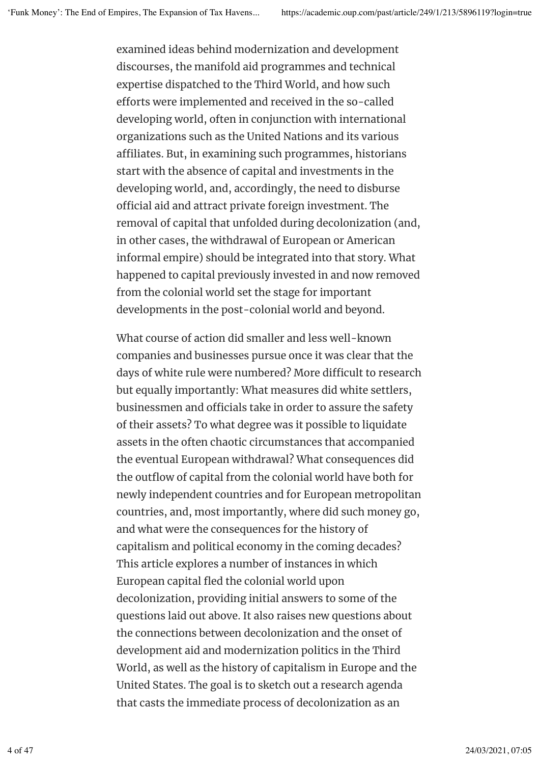examined ideas behind modernization and development discourses, the manifold aid programmes and technical expertise dispatched to the Third World, and how such eforts were implemented and received in the so-called developing world, often in conjunction with international organizations such as the United Nations and its various affiliates. But, in examining such programmes, historians start with the absence of capital and investments in the developing world, and, accordingly, the need to disburse official aid and attract private foreign investment. The removal of capital that unfolded during decolonization (and, in other cases, the withdrawal of European or American informal empire) should be integrated into that story. What happened to capital previously invested in and now removed from the colonial world set the stage for important developments in the post-colonial world and beyond.

What course of action did smaller and less well-known companies and businesses pursue once it was clear that the days of white rule were numbered? More difficult to research but equally importantly: What measures did white settlers, businessmen and officials take in order to assure the safety of their assets? To what degree was it possible to liquidate assets in the often chaotic circumstances that accompanied the eventual European withdrawal? What consequences did the outflow of capital from the colonial world have both for newly independent countries and for European metropolitan countries, and, most importantly, where did such money go, and what were the consequences for the history of capitalism and political economy in the coming decades? This article explores a number of instances in which European capital fled the colonial world upon decolonization, providing initial answers to some of the questions laid out above. It also raises new questions about the connections between decolonization and the onset of development aid and modernization politics in the Third World, as well as the history of capitalism in Europe and the United States. The goal is to sketch out a research agenda that casts the immediate process of decolonization as an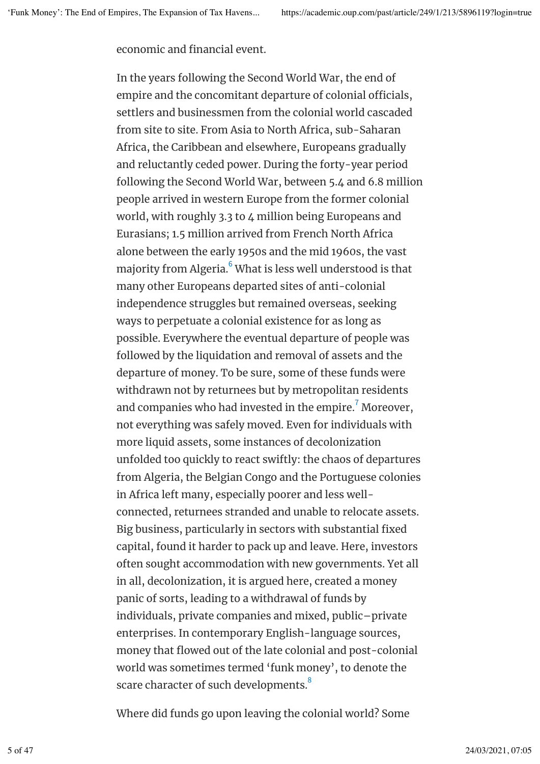economic and financial event.

In the years following the Second World War, the end of empire and the concomitant departure of colonial officials, settlers and businessmen from the colonial world cascaded from site to site. From Asia to North Africa, sub-Saharan Africa, the Caribbean and elsewhere, Europeans gradually and reluctantly ceded power. During the forty-year period following the Second World War, between 5.4 and 6.8 million people arrived in western Europe from the former colonial world, with roughly 3.3 to 4 million being Europeans and Eurasians; 1.5 million arrived from French North Africa alone between the early 1950s and the mid 1960s, the vast majority from Algeria. $^6$  What is less well understood is that many other Europeans departed sites of anti-colonial independence struggles but remained overseas, seeking ways to perpetuate a colonial existence for as long as possible. Everywhere the eventual departure of people was followed by the liquidation and removal of assets and the departure of money. To be sure, some of these funds were withdrawn not by returnees but by metropolitan residents and companies who had invested in the empire. $^7$  Moreover, not everything was safely moved. Even for individuals with more liquid assets, some instances of decolonization unfolded too quickly to react swiftly: the chaos of departures from Algeria, the Belgian Congo and the Portuguese colonies in Africa left many, especially poorer and less wellconnected, returnees stranded and unable to relocate assets. Big business, particularly in sectors with substantial fixed capital, found it harder to pack up and leave. Here, investors often sought accommodation with new governments. Yet all in all, decolonization, it is argued here, created a money panic of sorts, leading to a withdrawal of funds by individuals, private companies and mixed, public–private enterprises. In contemporary English-language sources, money that flowed out of the late colonial and post-colonial world was sometimes termed 'funk money', to denote the scare character of such developments. $^8$ 

Where did funds go upon leaving the colonial world? Some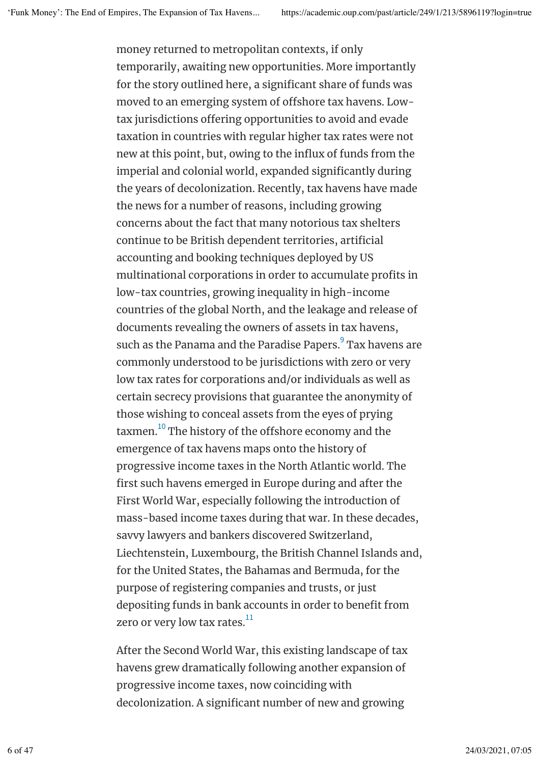money returned to metropolitan contexts, if only temporarily, awaiting new opportunities. More importantly for the story outlined here, a significant share of funds was moved to an emerging system of offshore tax havens. Lowtax jurisdictions offering opportunities to avoid and evade taxation in countries with regular higher tax rates were not new at this point, but, owing to the influx of funds from the imperial and colonial world, expanded significantly during the years of decolonization. Recently, tax havens have made the news for a number of reasons, including growing concerns about the fact that many notorious tax shelters continue to be British dependent territories, artificial accounting and booking techniques deployed by US multinational corporations in order to accumulate profits in low-tax countries, growing inequality in high-income countries of the global North, and the leakage and release of documents revealing the owners of assets in tax havens, such as the Panama and the Paradise Papers.<sup>9</sup> Tax havens are commonly understood to be jurisdictions with zero or very low tax rates for corporations and/or individuals as well as certain secrecy provisions that guarantee the anonymity of those wishing to conceal assets from the eyes of prying taxmen. $^{10}$  The history of the offshore economy and the emergence of tax havens maps onto the history of progressive income taxes in the North Atlantic world. The first such havens emerged in Europe during and after the First World War, especially following the introduction of mass-based income taxes during that war. In these decades, savvy lawyers and bankers discovered Switzerland, Liechtenstein, Luxembourg, the British Channel Islands and, for the United States, the Bahamas and Bermuda, for the purpose of registering companies and trusts, or just depositing funds in bank accounts in order to benefit from zero or very low tax rates. $^{\rm 11}$ 

After the Second World War, this existing landscape of tax havens grew dramatically following another expansion of progressive income taxes, now coinciding with decolonization. A significant number of new and growing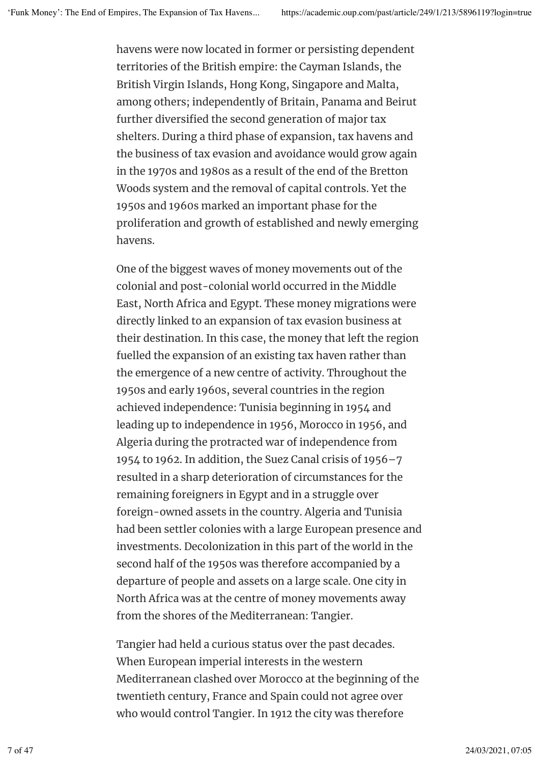havens were now located in former or persisting dependent territories of the British empire: the Cayman Islands, the British Virgin Islands, Hong Kong, Singapore and Malta, among others; independently of Britain, Panama and Beirut further diversified the second generation of major tax shelters. During a third phase of expansion, tax havens and the business of tax evasion and avoidance would grow again in the 1970s and 1980s as a result of the end of the Bretton Woods system and the removal of capital controls. Yet the 1950s and 1960s marked an important phase for the proliferation and growth of established and newly emerging havens.

One of the biggest waves of money movements out of the colonial and post-colonial world occurred in the Middle East, North Africa and Egypt. These money migrations were directly linked to an expansion of tax evasion business at their destination. In this case, the money that left the region fuelled the expansion of an existing tax haven rather than the emergence of a new centre of activity. Throughout the 1950s and early 1960s, several countries in the region achieved independence: Tunisia beginning in 1954 and leading up to independence in 1956, Morocco in 1956, and Algeria during the protracted war of independence from 1954 to 1962. In addition, the Suez Canal crisis of 1956–7 resulted in a sharp deterioration of circumstances for the remaining foreigners in Egypt and in a struggle over foreign-owned assets in the country. Algeria and Tunisia had been settler colonies with a large European presence and investments. Decolonization in this part of the world in the second half of the 1950s was therefore accompanied by a departure of people and assets on a large scale. One city in North Africa was at the centre of money movements away from the shores of the Mediterranean: Tangier.

Tangier had held a curious status over the past decades. When European imperial interests in the western Mediterranean clashed over Morocco at the beginning of the twentieth century, France and Spain could not agree over who would control Tangier. In 1912 the city was therefore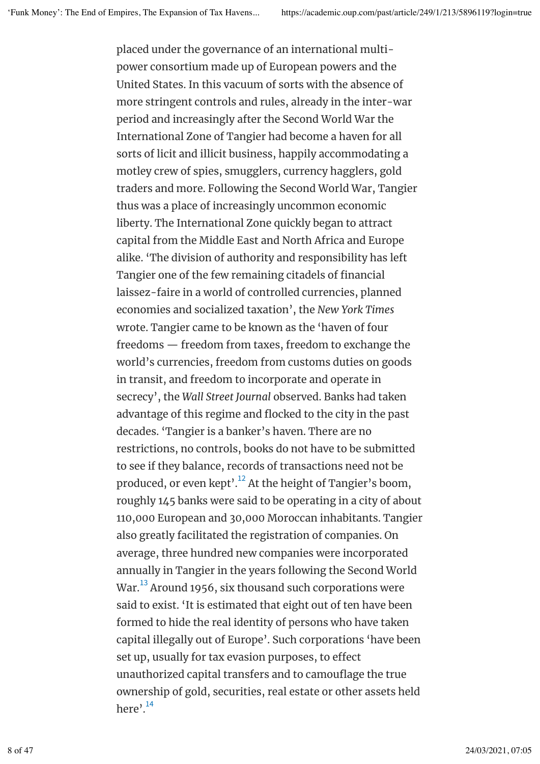placed under the governance of an international multipower consortium made up of European powers and the United States. In this vacuum of sorts with the absence of more stringent controls and rules, already in the inter-war period and increasingly after the Second World War the International Zone of Tangier had become a haven for all sorts of licit and illicit business, happily accommodating a motley crew of spies, smugglers, currency hagglers, gold traders and more. Following the Second World War, Tangier thus was a place of increasingly uncommon economic liberty. The International Zone quickly began to attract capital from the Middle East and North Africa and Europe alike. 'The division of authority and responsibility has left Tangier one of the few remaining citadels of financial laissez-faire in a world of controlled currencies, planned economies and socialized taxation', the *New York Times* wrote. Tangier came to be known as the 'haven of four freedoms — freedom from taxes, freedom to exchange the world's currencies, freedom from customs duties on goods in transit, and freedom to incorporate and operate in secrecy', the *Wall Street Journal* observed. Banks had taken advantage of this regime and flocked to the city in the past decades. 'Tangier is a banker's haven. There are no restrictions, no controls, books do not have to be submitted to see if they balance, records of transactions need not be produced, or even kept'. $^{12}$  At the height of Tangier's boom, roughly 145 banks were said to be operating in a city of about 110,000 European and 30,000 Moroccan inhabitants. Tangier also greatly facilitated the registration of companies. On average, three hundred new companies were incorporated annually in Tangier in the years following the Second World War. $^{13}$  Around 1956, six thousand such corporations were said to exist. 'It is estimated that eight out of ten have been formed to hide the real identity of persons who have taken capital illegally out of Europe'. Such corporations 'have been set up, usually for tax evasion purposes, to effect unauthorized capital transfers and to camouflage the true ownership of gold, securities, real estate or other assets held here'.<sup>14</sup>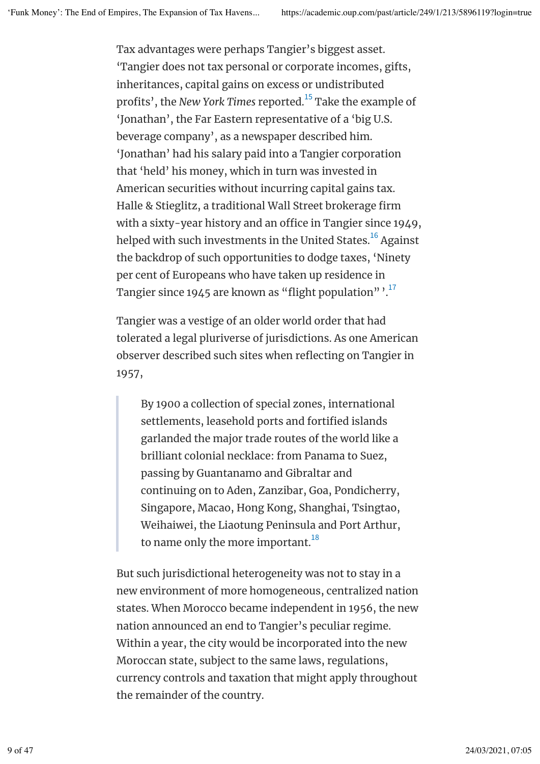Tax advantages were perhaps Tangier's biggest asset. 'Tangier does not tax personal or corporate incomes, gifts, inheritances, capital gains on excess or undistributed profits', the *New York Times r*eported.<sup>15</sup> Take the example of 'Jonathan', the Far Eastern representative of a 'big U.S. beverage company', as a newspaper described him. 'Jonathan' had his salary paid into a Tangier corporation that 'held' his money, which in turn was invested in American securities without incurring capital gains tax. Halle & Stieglitz, a traditional Wall Street brokerage firm with a sixty-year history and an office in Tangier since 1949, helped with such investments in the United States. $^{\rm 16}$  Against the backdrop of such opportunities to dodge taxes, 'Ninety per cent of Europeans who have taken up residence in Tangier since 1945 are known as "flight population"  $\cdot^{17}$ 

Tangier was a vestige of an older world order that had tolerated a legal pluriverse of jurisdictions. As one American observer described such sites when reflecting on Tangier in 1957,

By 1900 a collection of special zones, international settlements, leasehold ports and fortified islands garlanded the major trade routes of the world like a brilliant colonial necklace: from Panama to Suez, passing by Guantanamo and Gibraltar and continuing on to Aden, Zanzibar, Goa, Pondicherry, Singapore, Macao, Hong Kong, Shanghai, Tsingtao, Weihaiwei, the Liaotung Peninsula and Port Arthur, to name only the more important. $^{18}$ 

But such jurisdictional heterogeneity was not to stay in a new environment of more homogeneous, centralized nation states. When Morocco became independent in 1956, the new nation announced an end to Tangier's peculiar regime. Within a year, the city would be incorporated into the new Moroccan state, subject to the same laws, regulations, currency controls and taxation that might apply throughout the remainder of the country.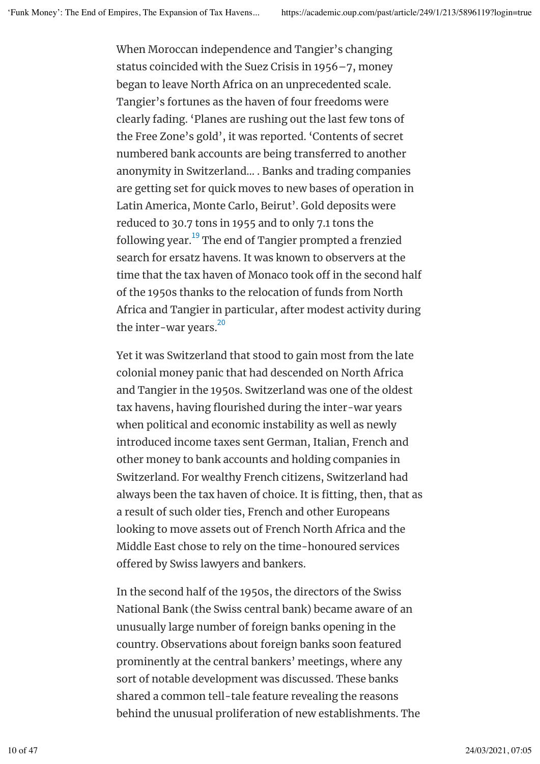When Moroccan independence and Tangier's changing status coincided with the Suez Crisis in 1956–7, money began to leave North Africa on an unprecedented scale. Tangier's fortunes as the haven of four freedoms were clearly fading. 'Planes are rushing out the last few tons of the Free Zone's gold', it was reported. 'Contents of secret numbered bank accounts are being transferred to another anonymity in Switzerland… . Banks and trading companies are getting set for quick moves to new bases of operation in Latin America, Monte Carlo, Beirut'. Gold deposits were reduced to 30.7 tons in 1955 and to only 7.1 tons the following year. $^{\rm 19}$  The end of Tangier prompted a frenzied search for ersatz havens. It was known to observers at the time that the tax haven of Monaco took off in the second half of the 1950s thanks to the relocation of funds from North Africa and Tangier in particular, after modest activity during the inter-war years. 20

Yet it was Switzerland that stood to gain most from the late colonial money panic that had descended on North Africa and Tangier in the 1950s. Switzerland was one of the oldest tax havens, having flourished during the inter-war years when political and economic instability as well as newly introduced income taxes sent German, Italian, French and other money to bank accounts and holding companies in Switzerland. For wealthy French citizens, Switzerland had always been the tax haven of choice. It is fitting, then, that as a result of such older ties, French and other Europeans looking to move assets out of French North Africa and the Middle East chose to rely on the time-honoured services offered by Swiss lawyers and bankers.

In the second half of the 1950s, the directors of the Swiss National Bank (the Swiss central bank) became aware of an unusually large number of foreign banks opening in the country. Observations about foreign banks soon featured prominently at the central bankers' meetings, where any sort of notable development was discussed. These banks shared a common tell-tale feature revealing the reasons behind the unusual proliferation of new establishments. The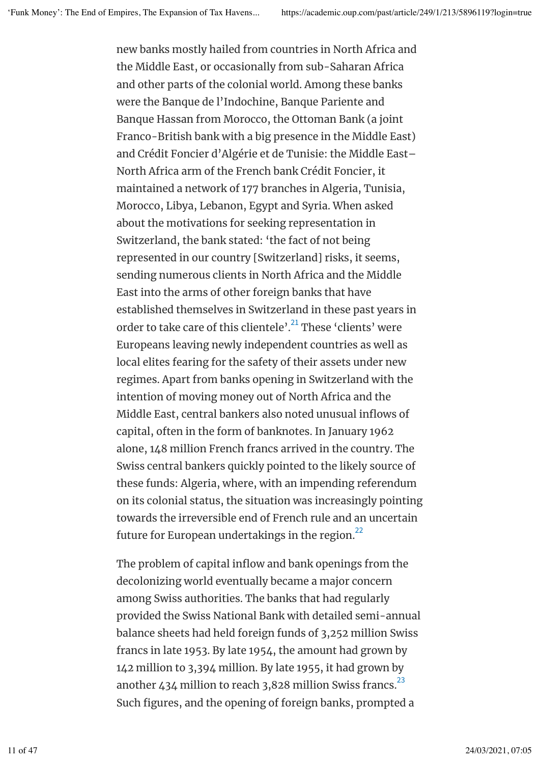new banks mostly hailed from countries in North Africa and the Middle East, or occasionally from sub-Saharan Africa and other parts of the colonial world. Among these banks were the Banque de l'Indochine, Banque Pariente and Banque Hassan from Morocco, the Ottoman Bank (a joint Franco-British bank with a big presence in the Middle East) and Crédit Foncier d'Algérie et de Tunisie: the Middle East– North Africa arm of the French bank Crédit Foncier, it maintained a network of 177 branches in Algeria, Tunisia, Morocco, Libya, Lebanon, Egypt and Syria. When asked about the motivations for seeking representation in Switzerland, the bank stated: 'the fact of not being represented in our country [Switzerland] risks, it seems, sending numerous clients in North Africa and the Middle East into the arms of other foreign banks that have established themselves in Switzerland in these past years in order to take care of this clientele'. $^{21}$  These 'clients' were Europeans leaving newly independent countries as well as local elites fearing for the safety of their assets under new regimes. Apart from banks opening in Switzerland with the intention of moving money out of North Africa and the Middle East, central bankers also noted unusual inflows of capital, often in the form of banknotes. In January 1962 alone, 148 million French francs arrived in the country. The Swiss central bankers quickly pointed to the likely source of these funds: Algeria, where, with an impending referendum on its colonial status, the situation was increasingly pointing towards the irreversible end of French rule and an uncertain future for European undertakings in the region. $^{22}$ 

The problem of capital inflow and bank openings from the decolonizing world eventually became a major concern among Swiss authorities. The banks that had regularly provided the Swiss National Bank with detailed semi-annual balance sheets had held foreign funds of 3,252 million Swiss francs in late 1953. By late 1954, the amount had grown by 142 million to 3,394 million. By late 1955, it had grown by another 434 million to reach 3,828 million Swiss francs. $^{23}$ Such figures, and the opening of foreign banks, prompted a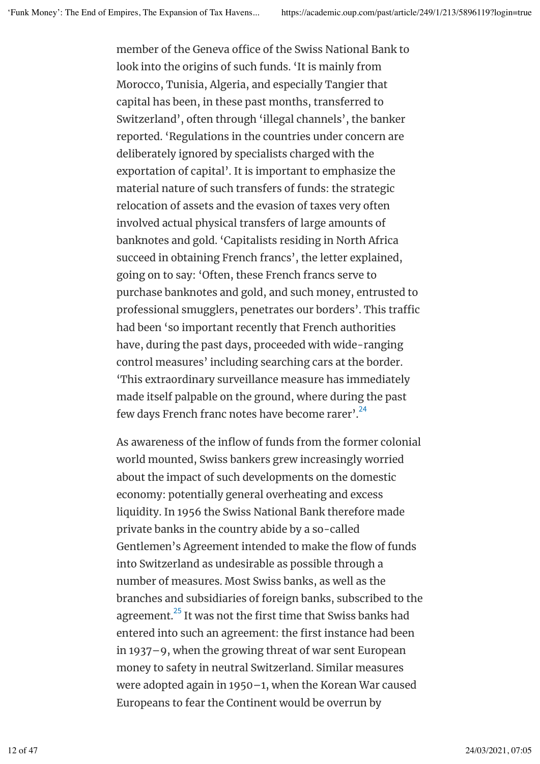member of the Geneva office of the Swiss National Bank to look into the origins of such funds. 'It is mainly from Morocco, Tunisia, Algeria, and especially Tangier that capital has been, in these past months, transferred to Switzerland', often through 'illegal channels', the banker reported. 'Regulations in the countries under concern are deliberately ignored by specialists charged with the exportation of capital'. It is important to emphasize the material nature of such transfers of funds: the strategic relocation of assets and the evasion of taxes very often involved actual physical transfers of large amounts of banknotes and gold. 'Capitalists residing in North Africa succeed in obtaining French francs', the letter explained, going on to say: 'Often, these French francs serve to purchase banknotes and gold, and such money, entrusted to professional smugglers, penetrates our borders'. This traffic had been 'so important recently that French authorities have, during the past days, proceeded with wide-ranging control measures' including searching cars at the border. 'This extraordinary surveillance measure has immediately made itself palpable on the ground, where during the past few days French franc notes have become rarer'.<sup>24</sup>

As awareness of the inflow of funds from the former colonial world mounted, Swiss bankers grew increasingly worried about the impact of such developments on the domestic economy: potentially general overheating and excess liquidity. In 1956 the Swiss National Bank therefore made private banks in the country abide by a so-called Gentlemen's Agreement intended to make the flow of funds into Switzerland as undesirable as possible through a number of measures. Most Swiss banks, as well as the branches and subsidiaries of foreign banks, subscribed to the agreement. $^{\mathrm{25}}$  It was not the first time that Swiss banks had entered into such an agreement: the first instance had been in 1937–9, when the growing threat of war sent European money to safety in neutral Switzerland. Similar measures were adopted again in 1950–1, when the Korean War caused Europeans to fear the Continent would be overrun by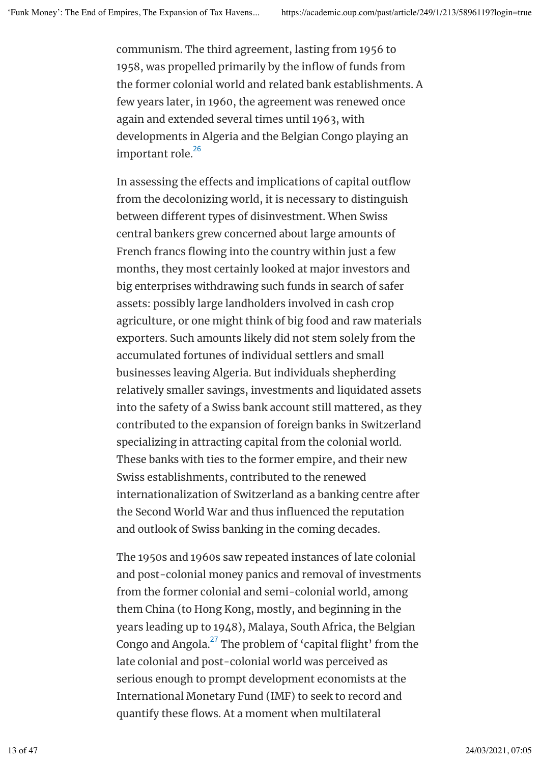communism. The third agreement, lasting from 1956 to 1958, was propelled primarily by the inflow of funds from the former colonial world and related bank establishments. A few years later, in 1960, the agreement was renewed once again and extended several times until 1963, with developments in Algeria and the Belgian Congo playing an important role. 26

In assessing the effects and implications of capital outflow from the decolonizing world, it is necessary to distinguish between diferent types of disinvestment. When Swiss central bankers grew concerned about large amounts of French francs flowing into the country within just a few months, they most certainly looked at major investors and big enterprises withdrawing such funds in search of safer assets: possibly large landholders involved in cash crop agriculture, or one might think of big food and raw materials exporters. Such amounts likely did not stem solely from the accumulated fortunes of individual settlers and small businesses leaving Algeria. But individuals shepherding relatively smaller savings, investments and liquidated assets into the safety of a Swiss bank account still mattered, as they contributed to the expansion of foreign banks in Switzerland specializing in attracting capital from the colonial world. These banks with ties to the former empire, and their new Swiss establishments, contributed to the renewed internationalization of Switzerland as a banking centre after the Second World War and thus influenced the reputation and outlook of Swiss banking in the coming decades.

The 1950s and 1960s saw repeated instances of late colonial and post-colonial money panics and removal of investments from the former colonial and semi-colonial world, among them China (to Hong Kong, mostly, and beginning in the years leading up to 1948), Malaya, South Africa, the Belgian Congo and Angola. $^{27}$  The problem of 'capital flight' from the late colonial and post-colonial world was perceived as serious enough to prompt development economists at the International Monetary Fund (IMF) to seek to record and quantify these flows. At a moment when multilateral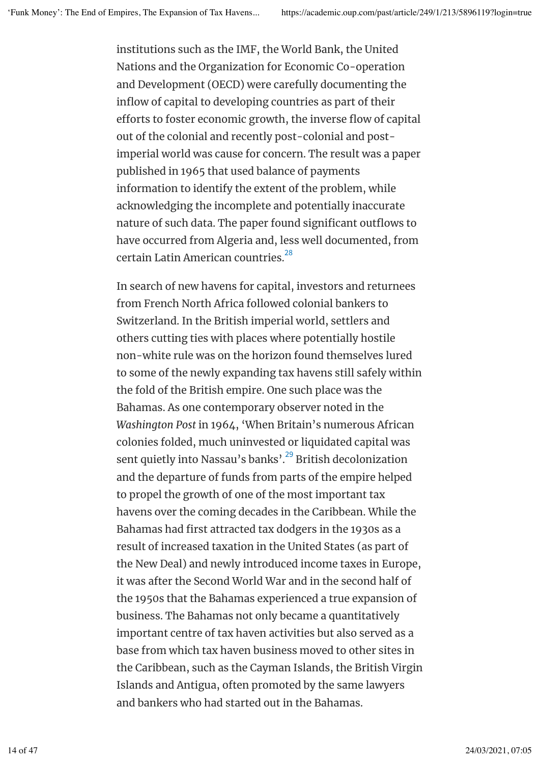institutions such as the IMF, the World Bank, the United Nations and the Organization for Economic Co-operation and Development (OECD) were carefully documenting the inflow of capital to developing countries as part of their eforts to foster economic growth, the inverse flow of capital out of the colonial and recently post-colonial and postimperial world was cause for concern. The result was a paper published in 1965 that used balance of payments information to identify the extent of the problem, while acknowledging the incomplete and potentially inaccurate nature of such data. The paper found significant outflows to have occurred from Algeria and, less well documented, from certain Latin American countries. 28

In search of new havens for capital, investors and returnees from French North Africa followed colonial bankers to Switzerland. In the British imperial world, settlers and others cutting ties with places where potentially hostile non-white rule was on the horizon found themselves lured to some of the newly expanding tax havens still safely within the fold of the British empire. One such place was the Bahamas. As one contemporary observer noted in the *Washington Post* in 1964, 'When Britain's numerous African colonies folded, much uninvested or liquidated capital was sent quietly into Nassau's banks'.<sup>29</sup> British decolonization and the departure of funds from parts of the empire helped to propel the growth of one of the most important tax havens over the coming decades in the Caribbean. While the Bahamas had first attracted tax dodgers in the 1930s as a result of increased taxation in the United States (as part of the New Deal) and newly introduced income taxes in Europe, it was after the Second World War and in the second half of the 1950s that the Bahamas experienced a true expansion of business. The Bahamas not only became a quantitatively important centre of tax haven activities but also served as a base from which tax haven business moved to other sites in the Caribbean, such as the Cayman Islands, the British Virgin Islands and Antigua, often promoted by the same lawyers and bankers who had started out in the Bahamas.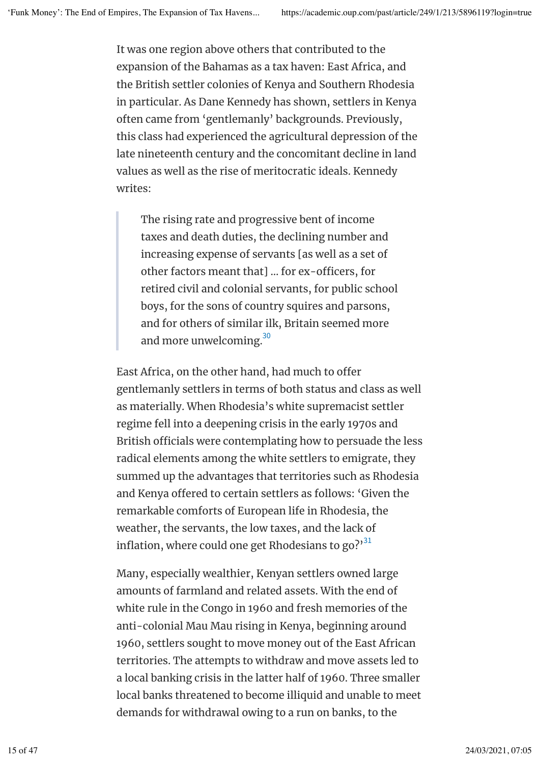It was one region above others that contributed to the expansion of the Bahamas as a tax haven: East Africa, and the British settler colonies of Kenya and Southern Rhodesia in particular. As Dane Kennedy has shown, settlers in Kenya often came from 'gentlemanly' backgrounds. Previously, this class had experienced the agricultural depression of the late nineteenth century and the concomitant decline in land values as well as the rise of meritocratic ideals. Kennedy writes:

The rising rate and progressive bent of income taxes and death duties, the declining number and increasing expense of servants [as well as a set of other factors meant that] ... for ex-officers, for retired civil and colonial servants, for public school boys, for the sons of country squires and parsons, and for others of similar ilk, Britain seemed more and more unwelcoming. $^{\rm 30}$ 

East Africa, on the other hand, had much to offer gentlemanly settlers in terms of both status and class as well as materially. When Rhodesia's white supremacist settler regime fell into a deepening crisis in the early 1970s and British officials were contemplating how to persuade the less radical elements among the white settlers to emigrate, they summed up the advantages that territories such as Rhodesia and Kenya offered to certain settlers as follows: 'Given the remarkable comforts of European life in Rhodesia, the weather, the servants, the low taxes, and the lack of inflation, where could one get Rhodesians to go?' $^{31}$ 

Many, especially wealthier, Kenyan settlers owned large amounts of farmland and related assets. With the end of white rule in the Congo in 1960 and fresh memories of the anti-colonial Mau Mau rising in Kenya, beginning around 1960, settlers sought to move money out of the East African territories. The attempts to withdraw and move assets led to a local banking crisis in the latter half of 1960. Three smaller local banks threatened to become illiquid and unable to meet demands for withdrawal owing to a run on banks, to the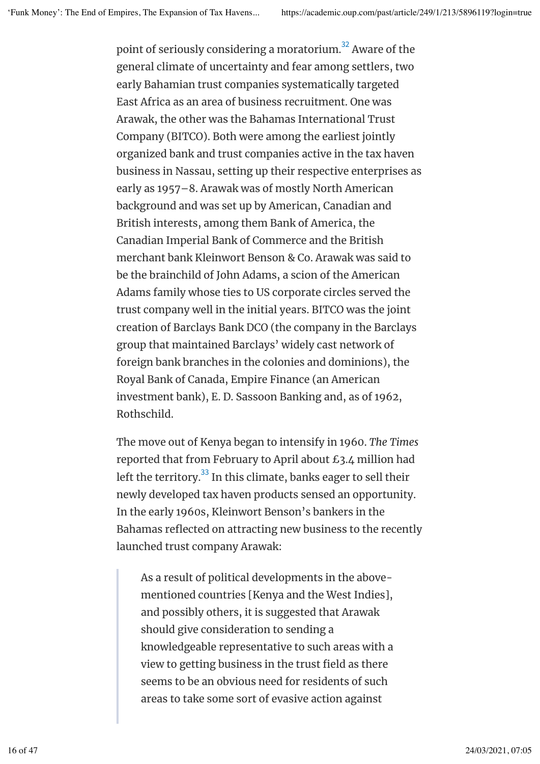point of seriously considering a moratorium. $^{\rm 32}$  Aware of the general climate of uncertainty and fear among settlers, two early Bahamian trust companies systematically targeted East Africa as an area of business recruitment. One was Arawak, the other was the Bahamas International Trust Company (BITCO). Both were among the earliest jointly organized bank and trust companies active in the tax haven business in Nassau, setting up their respective enterprises as early as 1957–8. Arawak was of mostly North American background and was set up by American, Canadian and British interests, among them Bank of America, the Canadian Imperial Bank of Commerce and the British merchant bank Kleinwort Benson & Co. Arawak was said to be the brainchild of John Adams, a scion of the American Adams family whose ties to US corporate circles served the trust company well in the initial years. BITCO was the joint creation of Barclays Bank DCO (the company in the Barclays group that maintained Barclays' widely cast network of foreign bank branches in the colonies and dominions), the Royal Bank of Canada, Empire Finance (an American investment bank), E. D. Sassoon Banking and, as of 1962, Rothschild.

The move out of Kenya began to intensify in 1960. *The Times* reported that from February to April about £3.4 million had left the territory. $^{\rm 33}$  In this climate, banks eager to sell their newly developed tax haven products sensed an opportunity. In the early 1960s, Kleinwort Benson's bankers in the Bahamas reflected on attracting new business to the recently launched trust company Arawak:

As a result of political developments in the abovementioned countries [Kenya and the West Indies], and possibly others, it is suggested that Arawak should give consideration to sending a knowledgeable representative to such areas with a view to getting business in the trust field as there seems to be an obvious need for residents of such areas to take some sort of evasive action against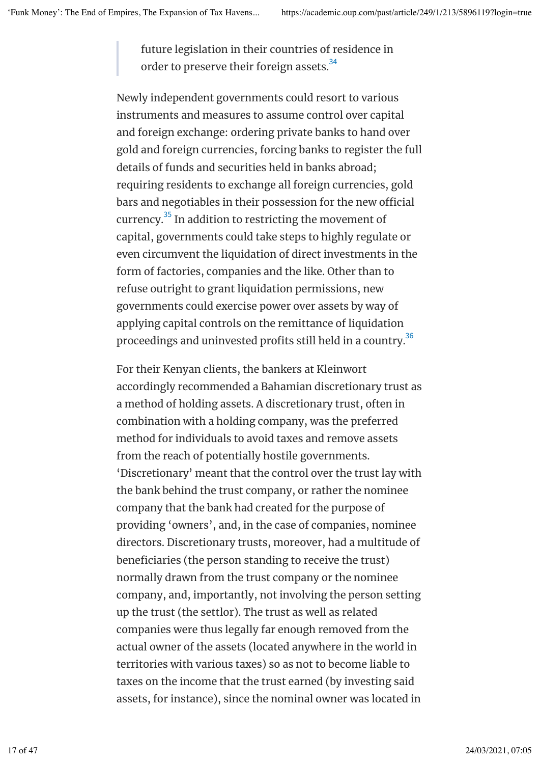future legislation in their countries of residence in order to preserve their foreign assets. $^{\rm 34}$ 

Newly independent governments could resort to various instruments and measures to assume control over capital and foreign exchange: ordering private banks to hand over gold and foreign currencies, forcing banks to register the full details of funds and securities held in banks abroad; requiring residents to exchange all foreign currencies, gold bars and negotiables in their possession for the new official currency. $^{35}$  In addition to restricting the movement of capital, governments could take steps to highly regulate or even circumvent the liquidation of direct investments in the form of factories, companies and the like. Other than to refuse outright to grant liquidation permissions, new governments could exercise power over assets by way of applying capital controls on the remittance of liquidation proceedings and uninvested profits still held in a country. $^{36}$ 

For their Kenyan clients, the bankers at Kleinwort accordingly recommended a Bahamian discretionary trust as a method of holding assets. A discretionary trust, often in combination with a holding company, was the preferred method for individuals to avoid taxes and remove assets from the reach of potentially hostile governments. 'Discretionary' meant that the control over the trust lay with the bank behind the trust company, or rather the nominee company that the bank had created for the purpose of providing 'owners', and, in the case of companies, nominee directors. Discretionary trusts, moreover, had a multitude of beneficiaries (the person standing to receive the trust) normally drawn from the trust company or the nominee company, and, importantly, not involving the person setting up the trust (the settlor). The trust as well as related companies were thus legally far enough removed from the actual owner of the assets (located anywhere in the world in territories with various taxes) so as not to become liable to taxes on the income that the trust earned (by investing said assets, for instance), since the nominal owner was located in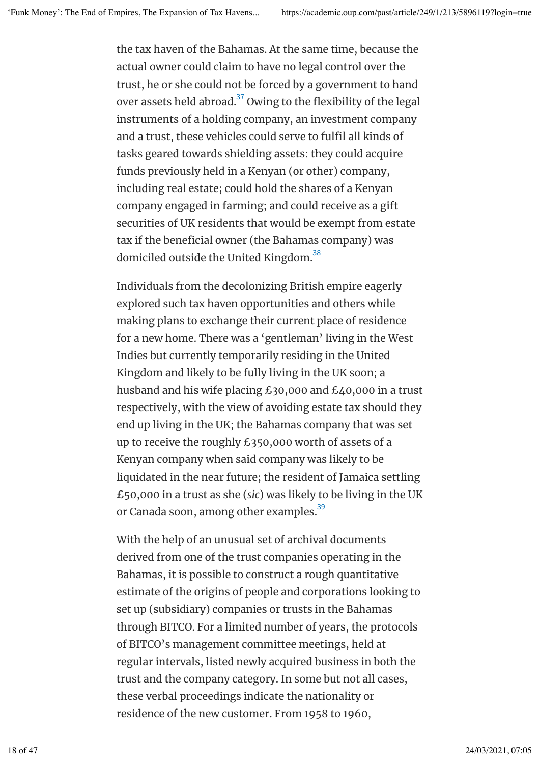the tax haven of the Bahamas. At the same time, because the actual owner could claim to have no legal control over the trust, he or she could not be forced by a government to hand over assets held abroad. $^{37}$  Owing to the flexibility of the legal instruments of a holding company, an investment company and a trust, these vehicles could serve to fulfil all kinds of tasks geared towards shielding assets: they could acquire funds previously held in a Kenyan (or other) company, including real estate; could hold the shares of a Kenyan company engaged in farming; and could receive as a gift securities of UK residents that would be exempt from estate tax if the beneficial owner (the Bahamas company) was domiciled outside the United Kingdom. $^{\rm 38}$ 

Individuals from the decolonizing British empire eagerly explored such tax haven opportunities and others while making plans to exchange their current place of residence for a new home. There was a 'gentleman' living in the West Indies but currently temporarily residing in the United Kingdom and likely to be fully living in the UK soon; a husband and his wife placing £30,000 and £40,000 in a trust respectively, with the view of avoiding estate tax should they end up living in the UK; the Bahamas company that was set up to receive the roughly £350,000 worth of assets of a Kenyan company when said company was likely to be liquidated in the near future; the resident of Jamaica settling £50,000 in a trust as she (*sic*) was likely to be living in the UK or Canada soon, among other examples.<sup>39</sup>

With the help of an unusual set of archival documents derived from one of the trust companies operating in the Bahamas, it is possible to construct a rough quantitative estimate of the origins of people and corporations looking to set up (subsidiary) companies or trusts in the Bahamas through BITCO. For a limited number of years, the protocols of BITCO's management committee meetings, held at regular intervals, listed newly acquired business in both the trust and the company category. In some but not all cases, these verbal proceedings indicate the nationality or residence of the new customer. From 1958 to 1960,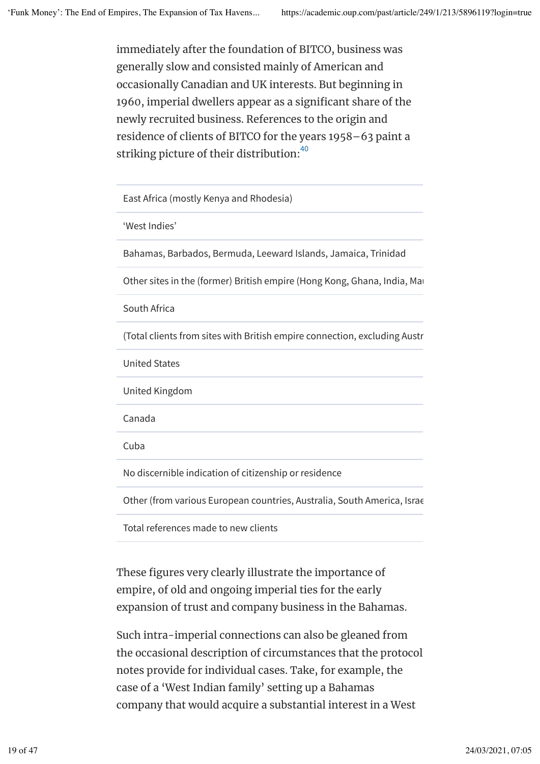immediately after the foundation of BITCO, business was generally slow and consisted mainly of American and occasionally Canadian and UK interests. But beginning in 1960, imperial dwellers appear as a significant share of the newly recruited business. References to the origin and residence of clients of BITCO for the years 1958–63 paint a striking picture of their distribution: $^{40}$ 

East Africa (mostly Kenya and Rhodesia)

'West Indies'

Bahamas, Barbados, Bermuda, Leeward Islands, Jamaica, Trinidad

Other sites in the (former) British empire (Hong Kong, Ghana, India, Marga, Singapor, Singapor, Malaya, Malaya, S

South Africa

(Total clients from sites with British empire connection, excluding Australia, Canada 137)

United States

United Kingdom

Canada

Cuba

No discernible indication of citizenship or residence

Other (from various European countries, Australia, South America, Israel)

Total references made to new clients

These figures very clearly illustrate the importance of empire, of old and ongoing imperial ties for the early expansion of trust and company business in the Bahamas.

Such intra-imperial connections can also be gleaned from the occasional description of circumstances that the protocol notes provide for individual cases. Take, for example, the case of a 'West Indian family' setting up a Bahamas company that would acquire a substantial interest in a West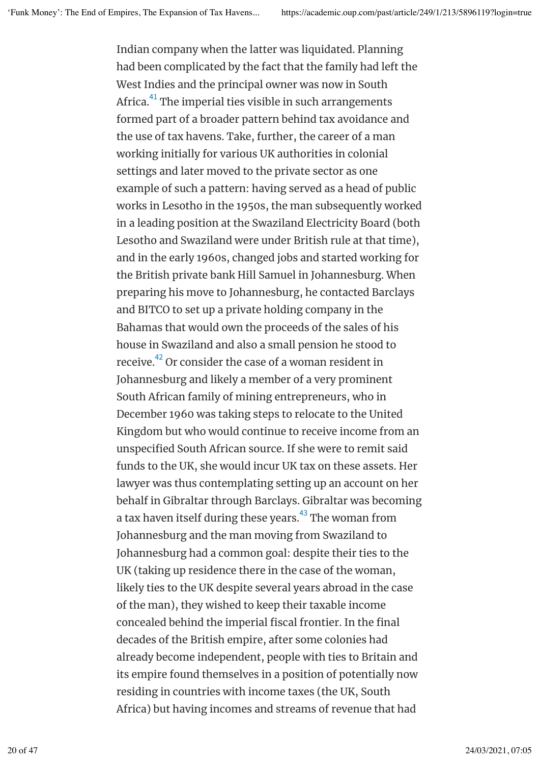Indian company when the latter was liquidated. Planning had been complicated by the fact that the family had left the West Indies and the principal owner was now in South Africa. $^{\rm 41}$  The imperial ties visible in such arrangements formed part of a broader pattern behind tax avoidance and the use of tax havens. Take, further, the career of a man working initially for various UK authorities in colonial settings and later moved to the private sector as one example of such a pattern: having served as a head of public works in Lesotho in the 1950s, the man subsequently worked in a leading position at the Swaziland Electricity Board (both Lesotho and Swaziland were under British rule at that time), and in the early 1960s, changed jobs and started working for the British private bank Hill Samuel in Johannesburg. When preparing his move to Johannesburg, he contacted Barclays and BITCO to set up a private holding company in the Bahamas that would own the proceeds of the sales of his house in Swaziland and also a small pension he stood to receive. $^\mathrm{42}$  Or consider the case of a woman resident in Johannesburg and likely a member of a very prominent South African family of mining entrepreneurs, who in December 1960 was taking steps to relocate to the United Kingdom but who would continue to receive income from an unspecified South African source. If she were to remit said funds to the UK, she would incur UK tax on these assets. Her lawyer was thus contemplating setting up an account on her behalf in Gibraltar through Barclays. Gibraltar was becoming a tax haven itself during these years.<sup>43</sup> The woman from Johannesburg and the man moving from Swaziland to Johannesburg had a common goal: despite their ties to the UK (taking up residence there in the case of the woman, likely ties to the UK despite several years abroad in the case of the man), they wished to keep their taxable income concealed behind the imperial fiscal frontier. In the final decades of the British empire, after some colonies had already become independent, people with ties to Britain and its empire found themselves in a position of potentially now residing in countries with income taxes (the UK, South Africa) but having incomes and streams of revenue that had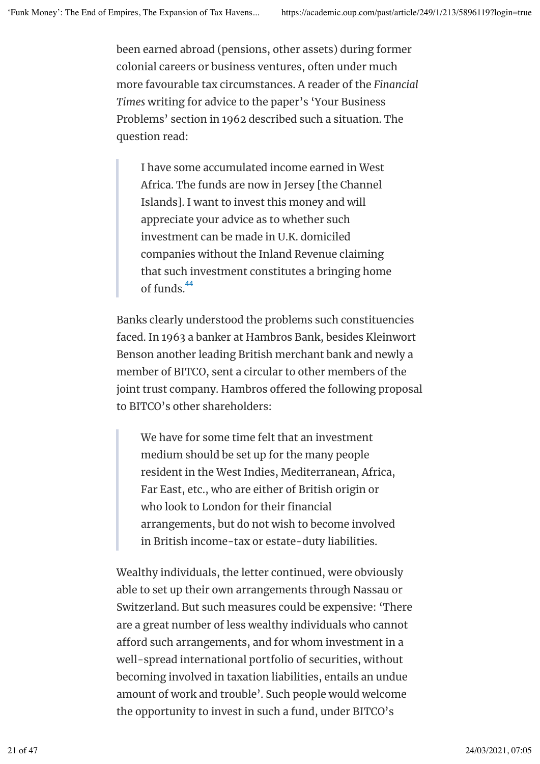been earned abroad (pensions, other assets) during former colonial careers or business ventures, often under much more favourable tax circumstances. A reader of the *Financial Times* writing for advice to the paper's 'Your Business Problems' section in 1962 described such a situation. The question read:

I have some accumulated income earned in West Africa. The funds are now in Jersey [the Channel Islands]. I want to invest this money and will appreciate your advice as to whether such investment can be made in U.K. domiciled companies without the Inland Revenue claiming that such investment constitutes a bringing home of funds.<sup>44</sup>

Banks clearly understood the problems such constituencies faced. In 1963 a banker at Hambros Bank, besides Kleinwort Benson another leading British merchant bank and newly a member of BITCO, sent a circular to other members of the joint trust company. Hambros offered the following proposal to BITCO's other shareholders:

We have for some time felt that an investment medium should be set up for the many people resident in the West Indies, Mediterranean, Africa, Far East, etc., who are either of British origin or who look to London for their financial arrangements, but do not wish to become involved in British income-tax or estate-duty liabilities.

Wealthy individuals, the letter continued, were obviously able to set up their own arrangements through Nassau or Switzerland. But such measures could be expensive: 'There are a great number of less wealthy individuals who cannot afford such arrangements, and for whom investment in a well-spread international portfolio of securities, without becoming involved in taxation liabilities, entails an undue amount of work and trouble'. Such people would welcome the opportunity to invest in such a fund, under BITCO's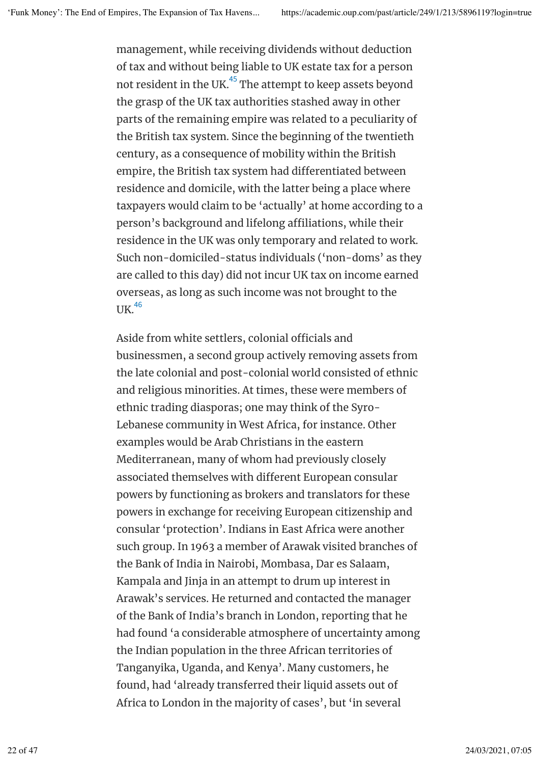management, while receiving dividends without deduction of tax and without being liable to UK estate tax for a person not resident in the UK. $^{45}\,$ The attempt to keep assets beyond the grasp of the UK tax authorities stashed away in other parts of the remaining empire was related to a peculiarity of the British tax system. Since the beginning of the twentieth century, as a consequence of mobility within the British empire, the British tax system had diferentiated between residence and domicile, with the latter being a place where taxpayers would claim to be 'actually' at home according to a person's background and lifelong affiliations, while their residence in the UK was only temporary and related to work. Such non-domiciled-status individuals ('non-doms' as they are called to this day) did not incur UK tax on income earned overseas, as long as such income was not brought to the UK. 46

Aside from white settlers, colonial officials and businessmen, a second group actively removing assets from the late colonial and post-colonial world consisted of ethnic and religious minorities. At times, these were members of ethnic trading diasporas; one may think of the Syro-Lebanese community in West Africa, for instance. Other examples would be Arab Christians in the eastern Mediterranean, many of whom had previously closely associated themselves with diferent European consular powers by functioning as brokers and translators for these powers in exchange for receiving European citizenship and consular 'protection'. Indians in East Africa were another such group. In 1963 a member of Arawak visited branches of the Bank of India in Nairobi, Mombasa, Dar es Salaam, Kampala and Jinja in an attempt to drum up interest in Arawak's services. He returned and contacted the manager of the Bank of India's branch in London, reporting that he had found 'a considerable atmosphere of uncertainty among the Indian population in the three African territories of Tanganyika, Uganda, and Kenya'. Many customers, he found, had 'already transferred their liquid assets out of Africa to London in the majority of cases', but 'in several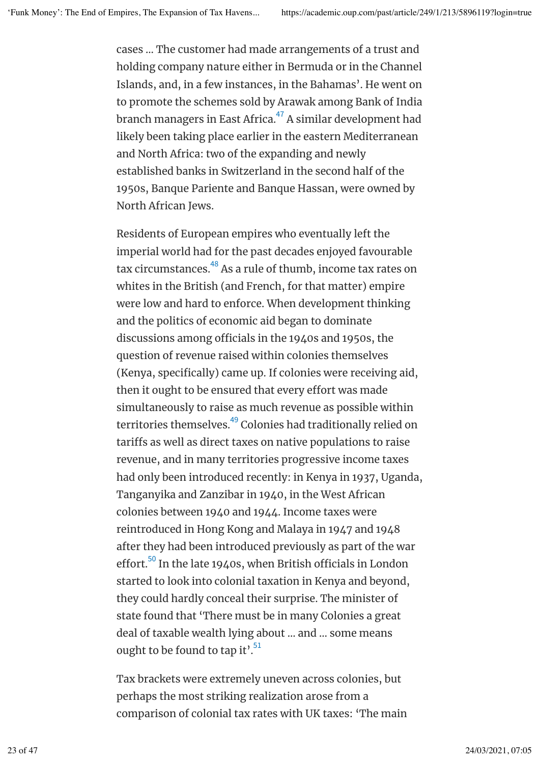cases … The customer had made arrangements of a trust and holding company nature either in Bermuda or in the Channel Islands, and, in a few instances, in the Bahamas'. He went on to promote the schemes sold by Arawak among Bank of India branch managers in East Africa. $^\mathrm{47}$  A similar development had likely been taking place earlier in the eastern Mediterranean and North Africa: two of the expanding and newly established banks in Switzerland in the second half of the 1950s, Banque Pariente and Banque Hassan, were owned by North African Jews.

Residents of European empires who eventually left the imperial world had for the past decades enjoyed favourable tax circumstances.<sup>48</sup> As a rule of thumb, income tax rates on whites in the British (and French, for that matter) empire were low and hard to enforce. When development thinking and the politics of economic aid began to dominate discussions among officials in the 1940s and 1950s, the question of revenue raised within colonies themselves (Kenya, specifically) came up. If colonies were receiving aid, then it ought to be ensured that every effort was made simultaneously to raise as much revenue as possible within territories themselves.<sup>49</sup> Colonies had traditionally relied on tarifs as well as direct taxes on native populations to raise revenue, and in many territories progressive income taxes had only been introduced recently: in Kenya in 1937, Uganda, Tanganyika and Zanzibar in 1940, in the West African colonies between 1940 and 1944. Income taxes were reintroduced in Hong Kong and Malaya in 1947 and 1948 after they had been introduced previously as part of the war effort.<sup>50</sup> In the late 1940s, when British officials in London started to look into colonial taxation in Kenya and beyond, they could hardly conceal their surprise. The minister of state found that 'There must be in many Colonies a great deal of taxable wealth lying about … and … some means ought to be found to tap it'. $^{51}$ 

Tax brackets were extremely uneven across colonies, but perhaps the most striking realization arose from a comparison of colonial tax rates with UK taxes: 'The main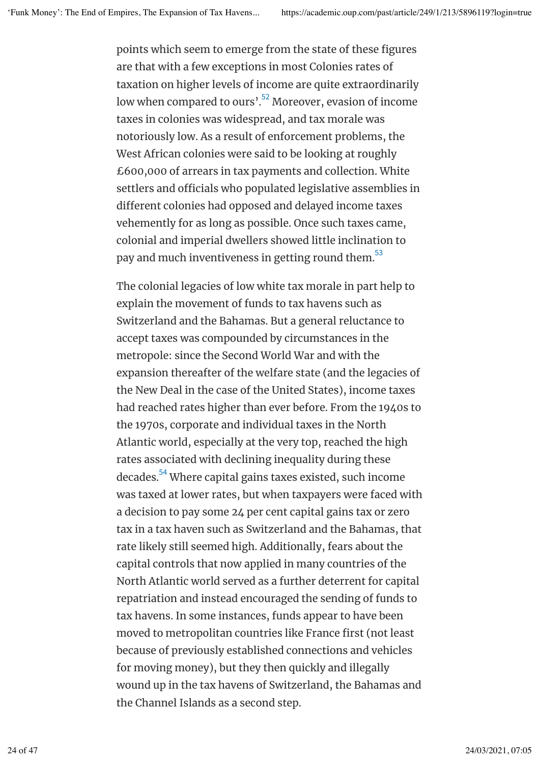points which seem to emerge from the state of these figures are that with a few exceptions in most Colonies rates of taxation on higher levels of income are quite extraordinarily low when compared to ours'. $^{52}$  Moreover, evasion of income taxes in colonies was widespread, and tax morale was notoriously low. As a result of enforcement problems, the West African colonies were said to be looking at roughly £600,000 of arrears in tax payments and collection. White settlers and officials who populated legislative assemblies in diferent colonies had opposed and delayed income taxes vehemently for as long as possible. Once such taxes came, colonial and imperial dwellers showed little inclination to pay and much inventiveness in getting round them. $^{\rm 53}$ 

The colonial legacies of low white tax morale in part help to explain the movement of funds to tax havens such as Switzerland and the Bahamas. But a general reluctance to accept taxes was compounded by circumstances in the metropole: since the Second World War and with the expansion thereafter of the welfare state (and the legacies of the New Deal in the case of the United States), income taxes had reached rates higher than ever before. From the 1940s to the 1970s, corporate and individual taxes in the North Atlantic world, especially at the very top, reached the high rates associated with declining inequality during these decades.<sup>54</sup> Where capital gains taxes existed, such income was taxed at lower rates, but when taxpayers were faced with a decision to pay some 24 per cent capital gains tax or zero tax in a tax haven such as Switzerland and the Bahamas, that rate likely still seemed high. Additionally, fears about the capital controls that now applied in many countries of the North Atlantic world served as a further deterrent for capital repatriation and instead encouraged the sending of funds to tax havens. In some instances, funds appear to have been moved to metropolitan countries like France first (not least because of previously established connections and vehicles for moving money), but they then quickly and illegally wound up in the tax havens of Switzerland, the Bahamas and the Channel Islands as a second step.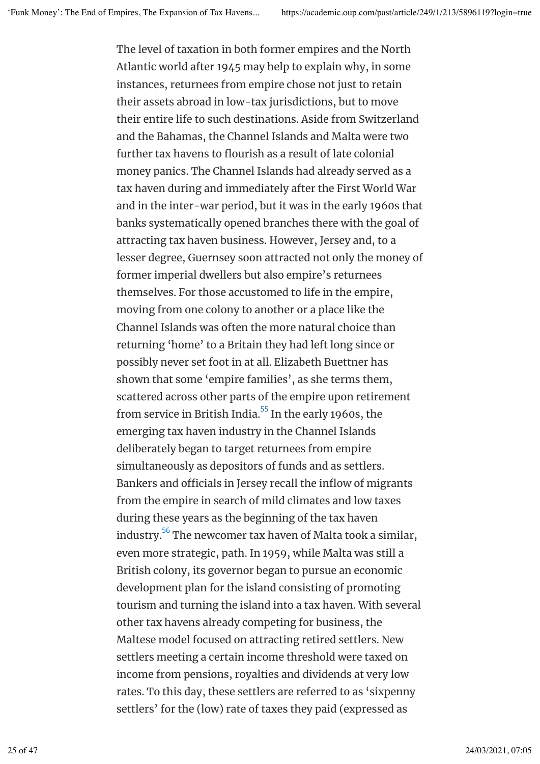The level of taxation in both former empires and the North Atlantic world after 1945 may help to explain why, in some instances, returnees from empire chose not just to retain their assets abroad in low-tax jurisdictions, but to move their entire life to such destinations. Aside from Switzerland and the Bahamas, the Channel Islands and Malta were two further tax havens to flourish as a result of late colonial money panics. The Channel Islands had already served as a tax haven during and immediately after the First World War and in the inter-war period, but it was in the early 1960s that banks systematically opened branches there with the goal of attracting tax haven business. However, Jersey and, to a lesser degree, Guernsey soon attracted not only the money of former imperial dwellers but also empire's returnees themselves. For those accustomed to life in the empire, moving from one colony to another or a place like the Channel Islands was often the more natural choice than returning 'home' to a Britain they had left long since or possibly never set foot in at all. Elizabeth Buettner has shown that some 'empire families', as she terms them, scattered across other parts of the empire upon retirement from service in British India.<sup>55</sup> In the early 1960s, the emerging tax haven industry in the Channel Islands deliberately began to target returnees from empire simultaneously as depositors of funds and as settlers. Bankers and officials in Jersey recall the inflow of migrants from the empire in search of mild climates and low taxes during these years as the beginning of the tax haven industry. $^{\rm 56}$  The newcomer tax haven of Malta took a similar, even more strategic, path. In 1959, while Malta was still a British colony, its governor began to pursue an economic development plan for the island consisting of promoting tourism and turning the island into a tax haven. With several other tax havens already competing for business, the Maltese model focused on attracting retired settlers. New settlers meeting a certain income threshold were taxed on income from pensions, royalties and dividends at very low rates. To this day, these settlers are referred to as 'sixpenny settlers' for the (low) rate of taxes they paid (expressed as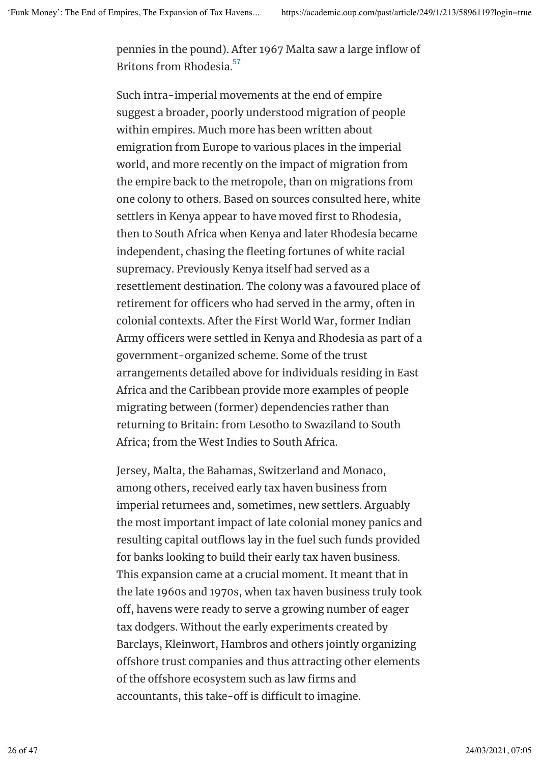pennies in the pound). After 1967 Malta saw a large inflow of Britons from Rhodesia. 57

Such intra-imperial movements at the end of empire suggest a broader, poorly understood migration of people within empires. Much more has been written about emigration from Europe to various places in the imperial world, and more recently on the impact of migration from the empire back to the metropole, than on migrations from one colony to others. Based on sources consulted here, white settlers in Kenya appear to have moved first to Rhodesia, then to South Africa when Kenya and later Rhodesia became independent, chasing the fleeting fortunes of white racial supremacy. Previously Kenya itself had served as a resettlement destination. The colony was a favoured place of retirement for officers who had served in the army, often in colonial contexts. After the First World War, former Indian Army officers were settled in Kenya and Rhodesia as part of a government-organized scheme. Some of the trust arrangements detailed above for individuals residing in East Africa and the Caribbean provide more examples of people migrating between (former) dependencies rather than returning to Britain: from Lesotho to Swaziland to South Africa; from the West Indies to South Africa.

Jersey, Malta, the Bahamas, Switzerland and Monaco, among others, received early tax haven business from imperial returnees and, sometimes, new settlers. Arguably the most important impact of late colonial money panics and resulting capital outflows lay in the fuel such funds provided for banks looking to build their early tax haven business. This expansion came at a crucial moment. It meant that in the late 1960s and 1970s, when tax haven business truly took off, havens were ready to serve a growing number of eager tax dodgers. Without the early experiments created by Barclays, Kleinwort, Hambros and others jointly organizing offshore trust companies and thus attracting other elements of the offshore ecosystem such as law firms and accountants, this take-off is difficult to imagine.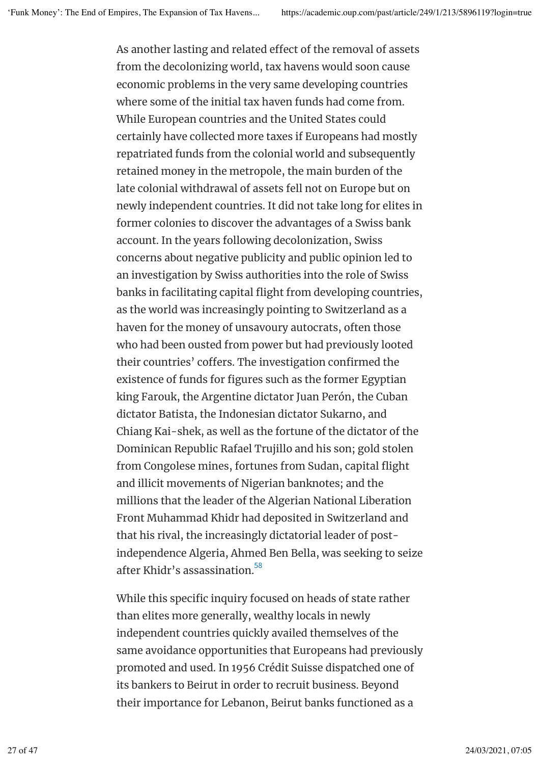As another lasting and related effect of the removal of assets from the decolonizing world, tax havens would soon cause economic problems in the very same developing countries where some of the initial tax haven funds had come from. While European countries and the United States could certainly have collected more taxes if Europeans had mostly repatriated funds from the colonial world and subsequently retained money in the metropole, the main burden of the late colonial withdrawal of assets fell not on Europe but on newly independent countries. It did not take long for elites in former colonies to discover the advantages of a Swiss bank account. In the years following decolonization, Swiss concerns about negative publicity and public opinion led to an investigation by Swiss authorities into the role of Swiss banks in facilitating capital flight from developing countries, as the world was increasingly pointing to Switzerland as a haven for the money of unsavoury autocrats, often those who had been ousted from power but had previously looted their countries' cofers. The investigation confirmed the existence of funds for figures such as the former Egyptian king Farouk, the Argentine dictator Juan Perón, the Cuban dictator Batista, the Indonesian dictator Sukarno, and Chiang Kai-shek, as well as the fortune of the dictator of the Dominican Republic Rafael Trujillo and his son; gold stolen from Congolese mines, fortunes from Sudan, capital flight and illicit movements of Nigerian banknotes; and the millions that the leader of the Algerian National Liberation Front Muhammad Khidr had deposited in Switzerland and that his rival, the increasingly dictatorial leader of postindependence Algeria, Ahmed Ben Bella, was seeking to seize after Khidr's assassination.<sup>58</sup>

While this specific inquiry focused on heads of state rather than elites more generally, wealthy locals in newly independent countries quickly availed themselves of the same avoidance opportunities that Europeans had previously promoted and used. In 1956 Crédit Suisse dispatched one of its bankers to Beirut in order to recruit business. Beyond their importance for Lebanon, Beirut banks functioned as a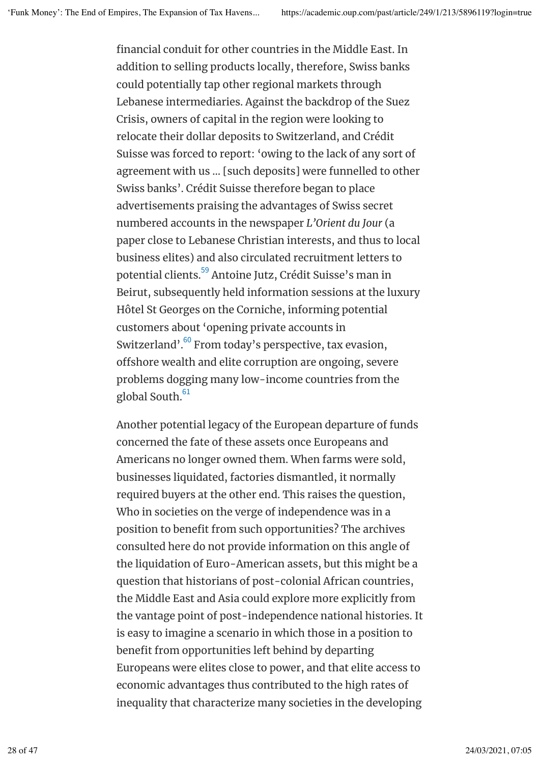financial conduit for other countries in the Middle East. In addition to selling products locally, therefore, Swiss banks could potentially tap other regional markets through Lebanese intermediaries. Against the backdrop of the Suez Crisis, owners of capital in the region were looking to relocate their dollar deposits to Switzerland, and Crédit Suisse was forced to report: 'owing to the lack of any sort of agreement with us … [such deposits] were funnelled to other Swiss banks'. Crédit Suisse therefore began to place advertisements praising the advantages of Swiss secret numbered accounts in the newspaper *L'Orient du Jour* (a paper close to Lebanese Christian interests, and thus to local business elites) and also circulated recruitment letters to potential clients.<sup>59</sup> Antoine Jutz, Crédit Suisse's man in Beirut, subsequently held information sessions at the luxury Hôtel St Georges on the Corniche, informing potential customers about 'opening private accounts in Switzerland'.<sup>60</sup> From today's perspective, tax evasion, offshore wealth and elite corruption are ongoing, severe problems dogging many low-income countries from the global South. 61

Another potential legacy of the European departure of funds concerned the fate of these assets once Europeans and Americans no longer owned them. When farms were sold, businesses liquidated, factories dismantled, it normally required buyers at the other end. This raises the question, Who in societies on the verge of independence was in a position to benefit from such opportunities? The archives consulted here do not provide information on this angle of the liquidation of Euro-American assets, but this might be a question that historians of post-colonial African countries, the Middle East and Asia could explore more explicitly from the vantage point of post-independence national histories. It is easy to imagine a scenario in which those in a position to benefit from opportunities left behind by departing Europeans were elites close to power, and that elite access to economic advantages thus contributed to the high rates of inequality that characterize many societies in the developing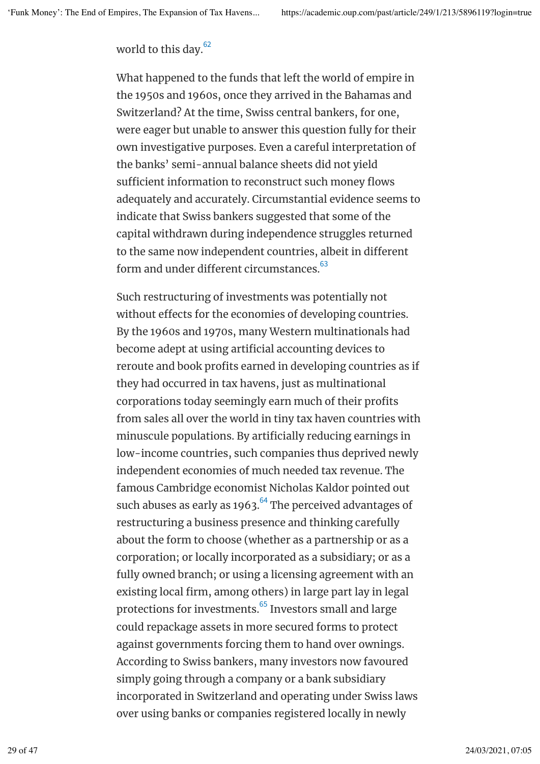world to this day.<sup>62</sup>

What happened to the funds that left the world of empire in the 1950s and 1960s, once they arrived in the Bahamas and Switzerland? At the time, Swiss central bankers, for one, were eager but unable to answer this question fully for their own investigative purposes. Even a careful interpretation of the banks' semi-annual balance sheets did not yield sufficient information to reconstruct such money flows adequately and accurately. Circumstantial evidence seems to indicate that Swiss bankers suggested that some of the capital withdrawn during independence struggles returned to the same now independent countries, albeit in diferent form and under different circumstances.<sup>63</sup>

Such restructuring of investments was potentially not without effects for the economies of developing countries. By the 1960s and 1970s, many Western multinationals had become adept at using artificial accounting devices to reroute and book profits earned in developing countries as if they had occurred in tax havens, just as multinational corporations today seemingly earn much of their profits from sales all over the world in tiny tax haven countries with minuscule populations. By artificially reducing earnings in low-income countries, such companies thus deprived newly independent economies of much needed tax revenue. The famous Cambridge economist Nicholas Kaldor pointed out such abuses as early as 1963. $\mathrm{^{64}}$  The perceived advantages of restructuring a business presence and thinking carefully about the form to choose (whether as a partnership or as a corporation; or locally incorporated as a subsidiary; or as a fully owned branch; or using a licensing agreement with an existing local firm, among others) in large part lay in legal protections for investments. $^{65}$  Investors small and large could repackage assets in more secured forms to protect against governments forcing them to hand over ownings. According to Swiss bankers, many investors now favoured simply going through a company or a bank subsidiary incorporated in Switzerland and operating under Swiss laws over using banks or companies registered locally in newly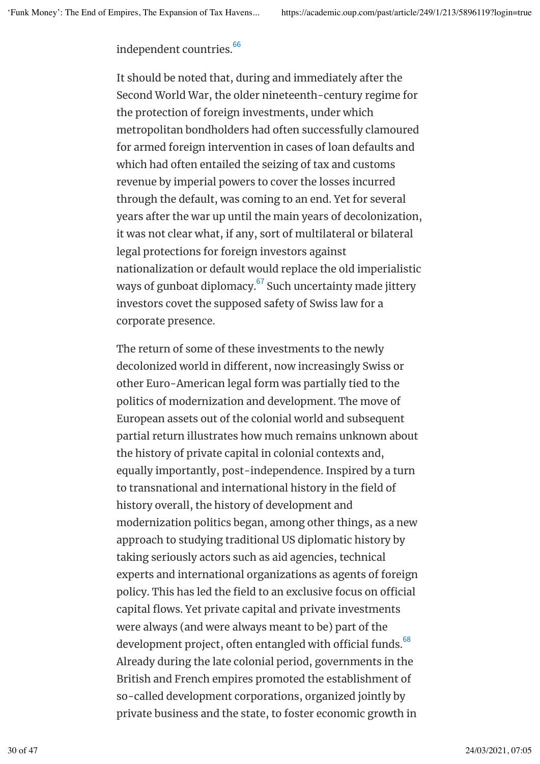independent countries. 66

It should be noted that, during and immediately after the Second World War, the older nineteenth-century regime for the protection of foreign investments, under which metropolitan bondholders had often successfully clamoured for armed foreign intervention in cases of loan defaults and which had often entailed the seizing of tax and customs revenue by imperial powers to cover the losses incurred through the default, was coming to an end. Yet for several years after the war up until the main years of decolonization, it was not clear what, if any, sort of multilateral or bilateral legal protections for foreign investors against nationalization or default would replace the old imperialistic ways of gunboat diplomacy. $\mathrm{^{67}}$  Such uncertainty made jittery investors covet the supposed safety of Swiss law for a corporate presence.

The return of some of these investments to the newly decolonized world in diferent, now increasingly Swiss or other Euro-American legal form was partially tied to the politics of modernization and development. The move of European assets out of the colonial world and subsequent partial return illustrates how much remains unknown about the history of private capital in colonial contexts and, equally importantly, post-independence. Inspired by a turn to transnational and international history in the field of history overall, the history of development and modernization politics began, among other things, as a new approach to studying traditional US diplomatic history by taking seriously actors such as aid agencies, technical experts and international organizations as agents of foreign policy. This has led the field to an exclusive focus on official capital flows. Yet private capital and private investments were always (and were always meant to be) part of the development project, often entangled with official funds. $^{68}$ Already during the late colonial period, governments in the British and French empires promoted the establishment of so-called development corporations, organized jointly by private business and the state, to foster economic growth in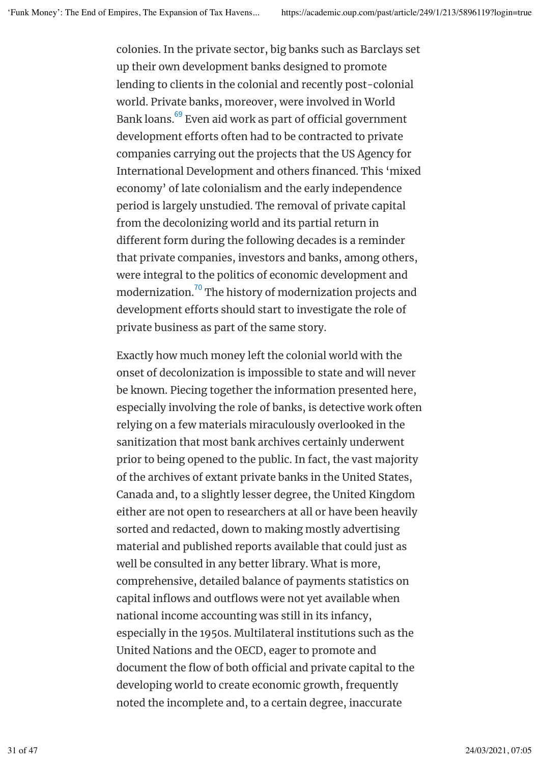colonies. In the private sector, big banks such as Barclays set up their own development banks designed to promote lending to clients in the colonial and recently post-colonial world. Private banks, moreover, were involved in World Bank loans. $^{\rm 69}$  Even aid work as part of official government development efforts often had to be contracted to private companies carrying out the projects that the US Agency for International Development and others financed. This 'mixed economy' of late colonialism and the early independence period is largely unstudied. The removal of private capital from the decolonizing world and its partial return in diferent form during the following decades is a reminder that private companies, investors and banks, among others, were integral to the politics of economic development and modernization. $^{70}\,$ The history of modernization projects and development efforts should start to investigate the role of private business as part of the same story.

Exactly how much money left the colonial world with the onset of decolonization is impossible to state and will never be known. Piecing together the information presented here, especially involving the role of banks, is detective work often relying on a few materials miraculously overlooked in the sanitization that most bank archives certainly underwent prior to being opened to the public. In fact, the vast majority of the archives of extant private banks in the United States, Canada and, to a slightly lesser degree, the United Kingdom either are not open to researchers at all or have been heavily sorted and redacted, down to making mostly advertising material and published reports available that could just as well be consulted in any better library. What is more, comprehensive, detailed balance of payments statistics on capital inflows and outflows were not yet available when national income accounting was still in its infancy, especially in the 1950s. Multilateral institutions such as the United Nations and the OECD, eager to promote and document the flow of both official and private capital to the developing world to create economic growth, frequently noted the incomplete and, to a certain degree, inaccurate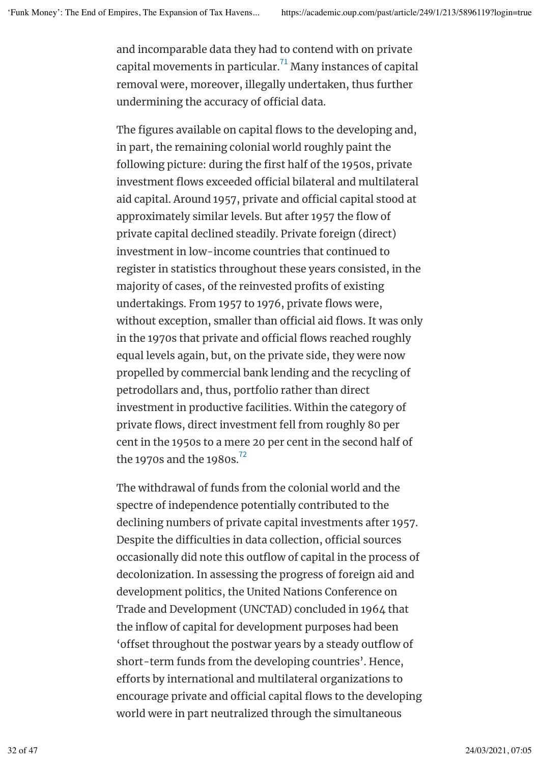and incomparable data they had to contend with on private capital movements in particular. $^{71}$  Many instances of capital removal were, moreover, illegally undertaken, thus further undermining the accuracy of official data.

The figures available on capital flows to the developing and, in part, the remaining colonial world roughly paint the following picture: during the first half of the 1950s, private investment flows exceeded official bilateral and multilateral aid capital. Around 1957, private and official capital stood at approximately similar levels. But after 1957 the flow of private capital declined steadily. Private foreign (direct) investment in low-income countries that continued to register in statistics throughout these years consisted, in the majority of cases, of the reinvested profits of existing undertakings. From 1957 to 1976, private flows were, without exception, smaller than official aid flows. It was only in the 1970s that private and official flows reached roughly equal levels again, but, on the private side, they were now propelled by commercial bank lending and the recycling of petrodollars and, thus, portfolio rather than direct investment in productive facilities. Within the category of private flows, direct investment fell from roughly 80 per cent in the 1950s to a mere 20 per cent in the second half of the 1970s and the 1980s.<sup>72</sup>

The withdrawal of funds from the colonial world and the spectre of independence potentially contributed to the declining numbers of private capital investments after 1957. Despite the difficulties in data collection, official sources occasionally did note this outflow of capital in the process of decolonization. In assessing the progress of foreign aid and development politics, the United Nations Conference on Trade and Development (UNCTAD) concluded in 1964 that the inflow of capital for development purposes had been 'offset throughout the postwar years by a steady outflow of short-term funds from the developing countries'. Hence, eforts by international and multilateral organizations to encourage private and official capital flows to the developing world were in part neutralized through the simultaneous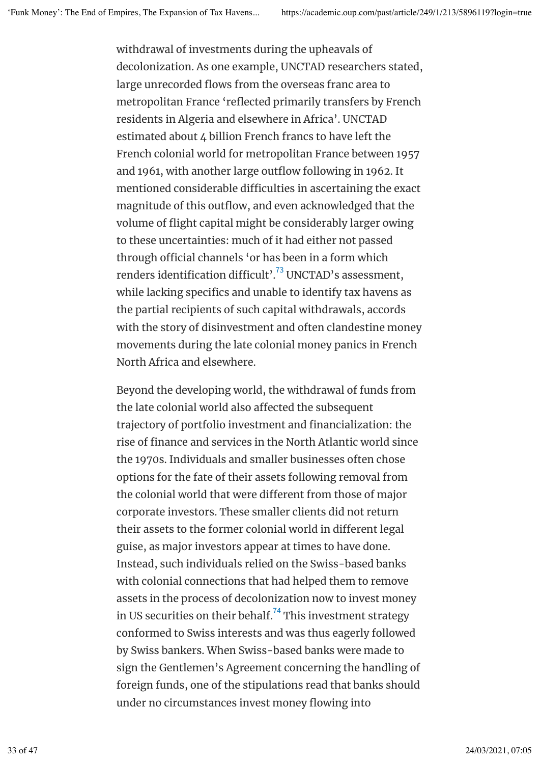withdrawal of investments during the upheavals of decolonization. As one example, UNCTAD researchers stated, large unrecorded flows from the overseas franc area to metropolitan France 'reflected primarily transfers by French residents in Algeria and elsewhere in Africa'. UNCTAD estimated about 4 billion French francs to have left the French colonial world for metropolitan France between 1957 and 1961, with another large outflow following in 1962. It mentioned considerable difficulties in ascertaining the exact magnitude of this outflow, and even acknowledged that the volume of flight capital might be considerably larger owing to these uncertainties: much of it had either not passed through official channels 'or has been in a form which renders identification difficult'. $^{73}$  UNCTAD's assessment, while lacking specifics and unable to identify tax havens as the partial recipients of such capital withdrawals, accords with the story of disinvestment and often clandestine money movements during the late colonial money panics in French North Africa and elsewhere.

Beyond the developing world, the withdrawal of funds from the late colonial world also afected the subsequent trajectory of portfolio investment and financialization: the rise of finance and services in the North Atlantic world since the 1970s. Individuals and smaller businesses often chose options for the fate of their assets following removal from the colonial world that were diferent from those of major corporate investors. These smaller clients did not return their assets to the former colonial world in diferent legal guise, as major investors appear at times to have done. Instead, such individuals relied on the Swiss-based banks with colonial connections that had helped them to remove assets in the process of decolonization now to invest money in US securities on their behalf. $^{74}$  This investment strategy conformed to Swiss interests and was thus eagerly followed by Swiss bankers. When Swiss-based banks were made to sign the Gentlemen's Agreement concerning the handling of foreign funds, one of the stipulations read that banks should under no circumstances invest money flowing into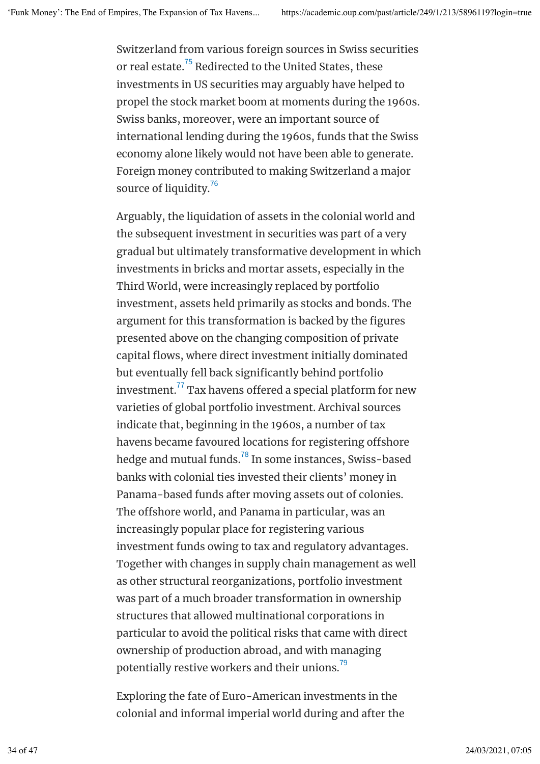Switzerland from various foreign sources in Swiss securities or real estate.<sup>75</sup> Redirected to the United States, these investments in US securities may arguably have helped to propel the stock market boom at moments during the 1960s. Swiss banks, moreover, were an important source of international lending during the 1960s, funds that the Swiss economy alone likely would not have been able to generate. Foreign money contributed to making Switzerland a major source of liquidity.<sup>76</sup>

Arguably, the liquidation of assets in the colonial world and the subsequent investment in securities was part of a very gradual but ultimately transformative development in which investments in bricks and mortar assets, especially in the Third World, were increasingly replaced by portfolio investment, assets held primarily as stocks and bonds. The argument for this transformation is backed by the figures presented above on the changing composition of private capital flows, where direct investment initially dominated but eventually fell back significantly behind portfolio investment. $^{77}\!$  Tax havens offered a special platform for new varieties of global portfolio investment. Archival sources indicate that, beginning in the 1960s, a number of tax havens became favoured locations for registering offshore hedge and mutual funds. $^{78}$  In some instances, Swiss-based banks with colonial ties invested their clients' money in Panama-based funds after moving assets out of colonies. The offshore world, and Panama in particular, was an increasingly popular place for registering various investment funds owing to tax and regulatory advantages. Together with changes in supply chain management as well as other structural reorganizations, portfolio investment was part of a much broader transformation in ownership structures that allowed multinational corporations in particular to avoid the political risks that came with direct ownership of production abroad, and with managing potentially restive workers and their unions. $^{^{79}}$ 

Exploring the fate of Euro-American investments in the colonial and informal imperial world during and after the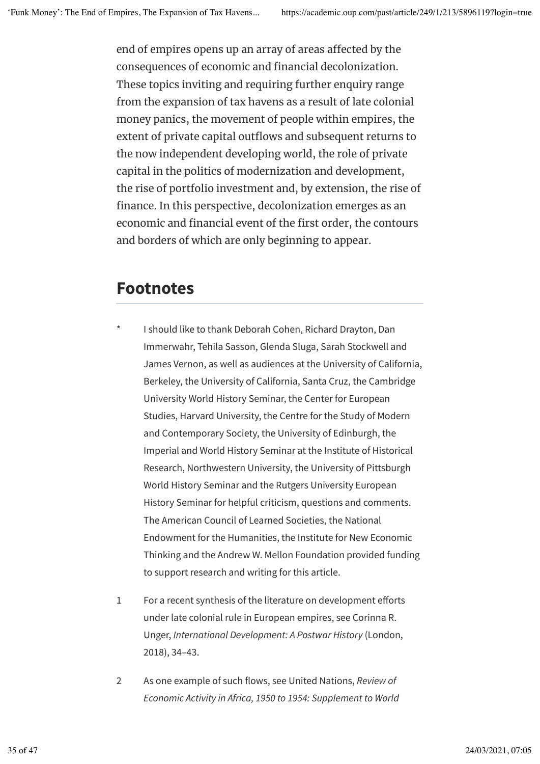end of empires opens up an array of areas afected by the consequences of economic and financial decolonization. These topics inviting and requiring further enquiry range from the expansion of tax havens as a result of late colonial money panics, the movement of people within empires, the extent of private capital outflows and subsequent returns to the now independent developing world, the role of private capital in the politics of modernization and development, the rise of portfolio investment and, by extension, the rise of finance. In this perspective, decolonization emerges as an economic and financial event of the first order, the contours and borders of which are only beginning to appear.

## **Footnotes**

- I should like to thank Deborah Cohen, Richard Drayton, Dan Immerwahr, Tehila Sasson, Glenda Sluga, Sarah Stockwell and James Vernon, as well as audiences at the University of California, Berkeley, the University of California, Santa Cruz, the Cambridge University World History Seminar, the Center for European Studies, Harvard University, the Centre for the Study of Modern and Contemporary Society, the University of Edinburgh, the Imperial and World History Seminar at the Institute of Historical Research, Northwestern University, the University of Pittsburgh World History Seminar and the Rutgers University European History Seminar for helpful criticism, questions and comments. The American Council of Learned Societies, the National Endowment for the Humanities, the Institute for New Economic Thinking and the Andrew W. Mellon Foundation provided funding to support research and writing for this article.
- 1 For a recent synthesis of the literature on development eforts under late colonial rule in European empires, see Corinna R. Unger, *International Development: A Postwar History* (London, 2018), 34–43.
- 2 As one example of such flows, see United Nations, *Review of Economic Activity in Africa, 1950 to 1954: Supplement to World*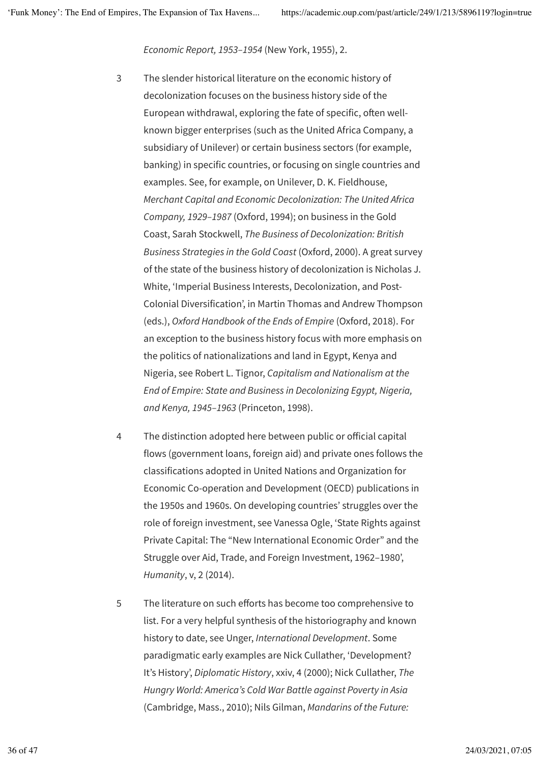*Economic Report, 1953–1954* (New York, 1955), 2.

- 3 The slender historical literature on the economic history of decolonization focuses on the business history side of the European withdrawal, exploring the fate of specific, often wellknown bigger enterprises (such as the United Africa Company, a subsidiary of Unilever) or certain business sectors (for example, banking) in specific countries, or focusing on single countries and examples. See, for example, on Unilever, D. K. Fieldhouse, *Merchant Capital and Economic Decolonization: The United Africa Company, 1929–1987* (Oxford, 1994); on business in the Gold Coast, Sarah Stockwell, *The Business of Decolonization: British Business Strategies in the Gold Coast* (Oxford, 2000). A great survey of the state of the business history of decolonization is Nicholas J. White, 'Imperial Business Interests, Decolonization, and Post-Colonial Diversification', in Martin Thomas and Andrew Thompson (eds.), *Oxford Handbook of the Ends of Empire* (Oxford, 2018). For an exception to the business history focus with more emphasis on the politics of nationalizations and land in Egypt, Kenya and Nigeria, see Robert L. Tignor, *Capitalism and Nationalism at the End of Empire: State and Business in Decolonizing Egypt, Nigeria, and Kenya, 1945–1963* (Princeton, 1998).
- 4 The distinction adopted here between public or oficial capital flows (government loans, foreign aid) and private ones follows the classifications adopted in United Nations and Organization for Economic Co-operation and Development (OECD) publications in the 1950s and 1960s. On developing countries' struggles over the role of foreign investment, see Vanessa Ogle, 'State Rights against Private Capital: The "New International Economic Order" and the Struggle over Aid, Trade, and Foreign Investment, 1962–1980', *Humanity*, v, 2 (2014).
- 5 The literature on such efforts has become too comprehensive to list. For a very helpful synthesis of the historiography and known history to date, see Unger, *International Development*. Some paradigmatic early examples are Nick Cullather, 'Development? It's History', *Diplomatic History*, xxiv, 4 (2000); Nick Cullather, *The Hungry World: America's Cold War Battle against Poverty in Asia* (Cambridge, Mass., 2010); Nils Gilman, *Mandarins of the Future:*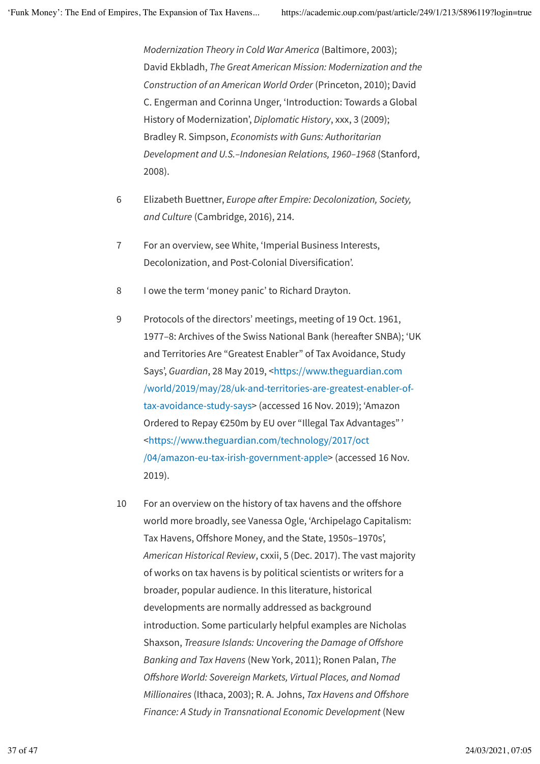*Modernization Theory in Cold War America* (Baltimore, 2003); David Ekbladh, *The Great American Mission: Modernization and the Construction of an American World Order* (Princeton, 2010); David C. Engerman and Corinna Unger, 'Introduction: Towards a Global History of Modernization', *Diplomatic History*, xxx, 3 (2009); Bradley R. Simpson, *Economists with Guns: Authoritarian Development and U.S.–Indonesian Relations, 1960–1968* (Stanford, 2008).

- 6 Elizabeth Buettner, *Europe afer Empire: Decolonization, Society, and Culture* (Cambridge, 2016), 214.
- 7 For an overview, see White, 'Imperial Business Interests, Decolonization, and Post-Colonial Diversification'.
- 8 I owe the term 'money panic' to Richard Drayton.
- 9 Protocols of the directors' meetings, meeting of 19 Oct. 1961, 1977–8: Archives of the Swiss National Bank (hereafter SNBA); 'UK and Territories Are "Greatest Enabler" of Tax Avoidance, Study Says', *Guardian*, 28 May 2019, <https://www.theguardian.com /world/2019/may/28/uk-and-territories-are-greatest-enabler-oftax-avoidance-study-says> (accessed 16 Nov. 2019); 'Amazon Ordered to Repay €250m by EU over "Illegal Tax Advantages" ' <https://www.theguardian.com/technology/2017/oct /04/amazon-eu-tax-irish-government-apple> (accessed 16 Nov. 2019).
- 10 For an overview on the history of tax havens and the ofshore world more broadly, see Vanessa Ogle, 'Archipelago Capitalism: Tax Havens, Offshore Money, and the State, 1950s-1970s', *American Historical Review*, cxxii, 5 (Dec. 2017). The vast majority of works on tax havens is by political scientists or writers for a broader, popular audience. In this literature, historical developments are normally addressed as background introduction. Some particularly helpful examples are Nicholas Shaxson, *Treasure Islands: Uncovering the Damage of Ofshore Banking and Tax Havens* (New York, 2011); Ronen Palan, *The Ofshore World: Sovereign Markets, Virtual Places, and Nomad Millionaires* (Ithaca, 2003); R. A. Johns, *Tax Havens and Ofshore Finance: A Study in Transnational Economic Development* (New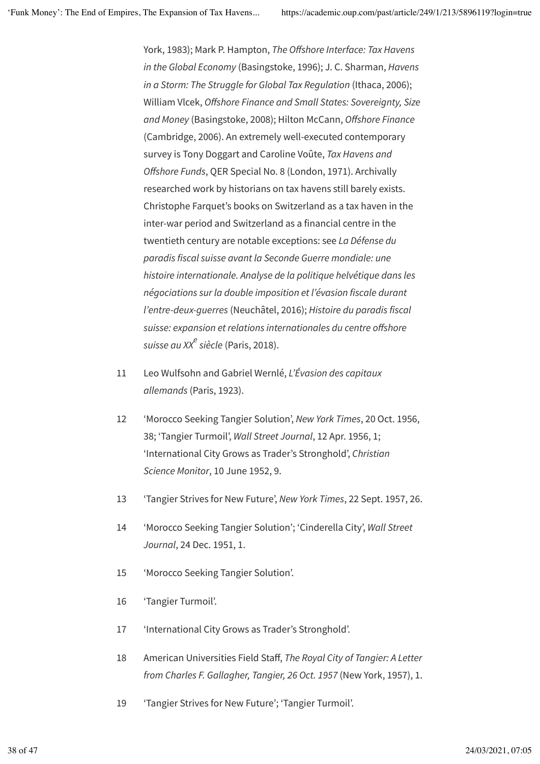York, 1983); Mark P. Hampton, *The Ofshore Interface: Tax Havens in the Global Economy* (Basingstoke, 1996); J. C. Sharman, *Havens in a Storm: The Struggle for Global Tax Regulation* (Ithaca, 2006); William Vlcek, *Ofshore Finance and Small States: Sovereignty, Size and Money* (Basingstoke, 2008); Hilton McCann, *Ofshore Finance* (Cambridge, 2006). An extremely well-executed contemporary survey is Tony Doggart and Caroline Voûte, *Tax Havens and Ofshore Funds*, QER Special No. 8 (London, 1971). Archivally researched work by historians on tax havens still barely exists. Christophe Farquet's books on Switzerland as a tax haven in the inter-war period and Switzerland as a financial centre in the twentieth century are notable exceptions: see *La Défense du paradis fiscal suisse avant la Seconde Guerre mondiale: une histoire internationale. Analyse de la politique helvétique dans les négociations sur la double imposition et l'évasion fiscale durant l'entre-deux-guerres* (Neuchâtel, 2016); *Histoire du paradis fiscal suisse: expansion et relations internationales du centre ofshore* s*uisse au XX<sup>e</sup> siècle (*Paris, 2018).

- 11 Leo Wulfsohn and Gabriel Wernlé, *L'Évasion des capitaux allemands* (Paris, 1923).
- 12 'Morocco Seeking Tangier Solution', *New York Times*, 20 Oct. 1956, 38; 'Tangier Turmoil', *Wall Street Journal*, 12 Apr. 1956, 1; 'International City Grows as Trader's Stronghold', *Christian Science Monitor*, 10 June 1952, 9.
- 13 'Tangier Strives for New Future', *New York Times*, 22 Sept. 1957, 26.
- 14 'Morocco Seeking Tangier Solution'; 'Cinderella City', *Wall Street Journal*, 24 Dec. 1951, 1.
- 15 'Morocco Seeking Tangier Solution'.
- 16 'Tangier Turmoil'.
- 17 'International City Grows as Trader's Stronghold'.
- 18 American Universities Field Staf, *The Royal City of Tangier: A Letter from Charles F. Gallagher, Tangier, 26 Oct. 1957* (New York, 1957), 1.
- 19 'Tangier Strives for New Future'; 'Tangier Turmoil'.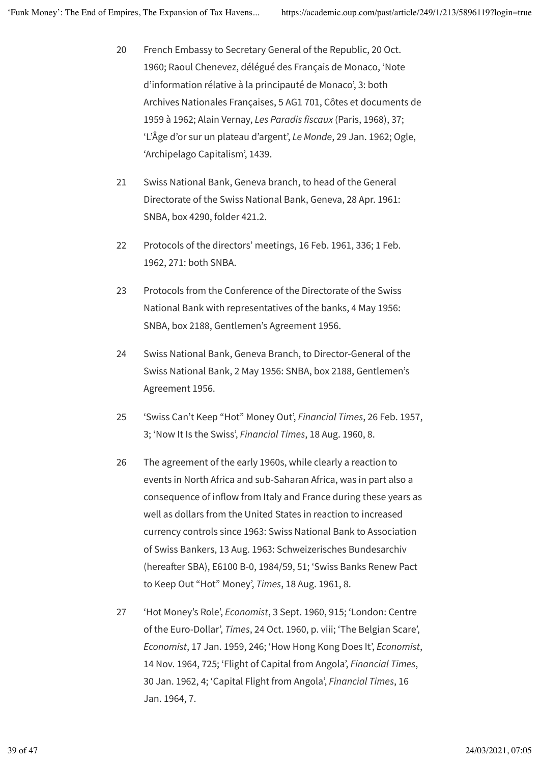- 20 French Embassy to Secretary General of the Republic, 20 Oct. 1960; Raoul Chenevez, délégué des Français de Monaco, 'Note d'information rélative à la principauté de Monaco', 3: both Archives Nationales Françaises, 5 AG1 701, Côtes et documents de 1959 à 1962; Alain Vernay, *Les Paradis fiscaux* (Paris, 1968), 37; 'L'Âge d'or sur un plateau d'argent', *Le Monde*, 29 Jan. 1962; Ogle, 'Archipelago Capitalism', 1439.
- 21 Swiss National Bank, Geneva branch, to head of the General Directorate of the Swiss National Bank, Geneva, 28 Apr. 1961: SNBA, box 4290, folder 421.2.
- 22 Protocols of the directors' meetings, 16 Feb. 1961, 336; 1 Feb. 1962, 271: both SNBA.
- 23 Protocols from the Conference of the Directorate of the Swiss National Bank with representatives of the banks, 4 May 1956: SNBA, box 2188, Gentlemen's Agreement 1956.
- 24 Swiss National Bank, Geneva Branch, to Director-General of the Swiss National Bank, 2 May 1956: SNBA, box 2188, Gentlemen's Agreement 1956.
- 25 'Swiss Can't Keep "Hot" Money Out', *Financial Times*, 26 Feb. 1957, 3; 'Now It Is the Swiss', *Financial Times*, 18 Aug. 1960, 8.
- 26 The agreement of the early 1960s, while clearly a reaction to events in North Africa and sub-Saharan Africa, was in part also a consequence of inflow from Italy and France during these years as well as dollars from the United States in reaction to increased currency controls since 1963: Swiss National Bank to Association of Swiss Bankers, 13 Aug. 1963: Schweizerisches Bundesarchiv (hereafter SBA), E6100 B-0, 1984/59, 51; 'Swiss Banks Renew Pact to Keep Out "Hot" Money', *Times*, 18 Aug. 1961, 8.
- 27 'Hot Money's Role', *Economist*, 3 Sept. 1960, 915; 'London: Centre of the Euro-Dollar', *Times*, 24 Oct. 1960, p. viii; 'The Belgian Scare', *Economist*, 17 Jan. 1959, 246; 'How Hong Kong Does It', *Economist*, 14 Nov. 1964, 725; 'Flight of Capital from Angola', *Financial Times*, 30 Jan. 1962, 4; 'Capital Flight from Angola', *Financial Times*, 16 Jan. 1964, 7.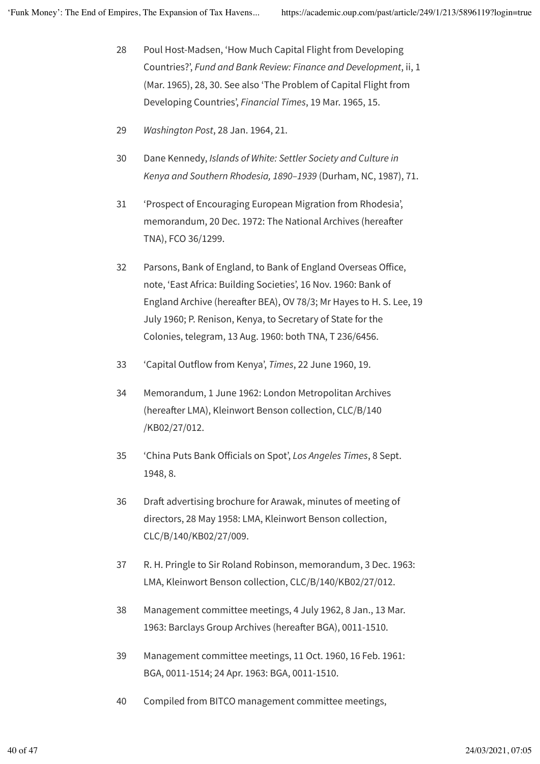- 28 Poul Host-Madsen, 'How Much Capital Flight from Developing Countries?', *Fund and Bank Review: Finance and Development*, ii, 1 (Mar. 1965), 28, 30. See also 'The Problem of Capital Flight from Developing Countries', *Financial Times*, 19 Mar. 1965, 15.
- 29 *Washington Post*, 28 Jan. 1964, 21.
- 30 Dane Kennedy, *Islands of White: Settler Society and Culture in Kenya and Southern Rhodesia, 1890–1939* (Durham, NC, 1987), 71.
- 31 'Prospect of Encouraging European Migration from Rhodesia', memorandum, 20 Dec. 1972: The National Archives (hereafer TNA), FCO 36/1299.
- 32 Parsons, Bank of England, to Bank of England Overseas Ofice, note, 'East Africa: Building Societies', 16 Nov. 1960: Bank of England Archive (hereafter BEA), OV 78/3; Mr Hayes to H. S. Lee, 19 July 1960; P. Renison, Kenya, to Secretary of State for the Colonies, telegram, 13 Aug. 1960: both TNA, T 236/6456.
- 33 'Capital Outflow from Kenya', *Times*, 22 June 1960, 19.
- 34 Memorandum, 1 June 1962: London Metropolitan Archives (hereafter LMA), Kleinwort Benson collection, CLC/B/140 /KB02/27/012.
- 35 'China Puts Bank Oficials on Spot', *Los Angeles Times*, 8 Sept. 1948, 8.
- 36 Draft advertising brochure for Arawak, minutes of meeting of directors, 28 May 1958: LMA, Kleinwort Benson collection, CLC/B/140/KB02/27/009.
- 37 R. H. Pringle to Sir Roland Robinson, memorandum, 3 Dec. 1963: LMA, Kleinwort Benson collection, CLC/B/140/KB02/27/012.
- 38 Management committee meetings, 4 July 1962, 8 Jan., 13 Mar. 1963: Barclays Group Archives (hereafer BGA), 0011-1510.
- 39 Management committee meetings, 11 Oct. 1960, 16 Feb. 1961: BGA, 0011-1514; 24 Apr. 1963: BGA, 0011-1510.
- 40 Compiled from BITCO management committee meetings,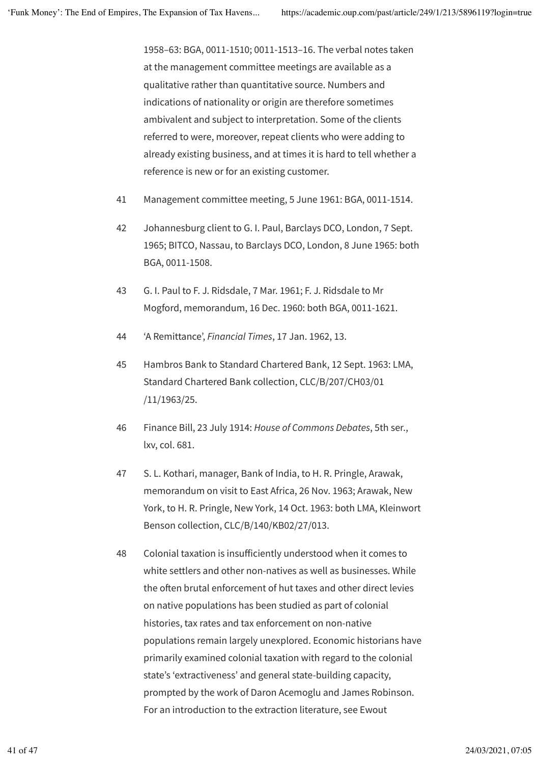1958–63: BGA, 0011-1510; 0011-1513–16. The verbal notes taken at the management committee meetings are available as a qualitative rather than quantitative source. Numbers and indications of nationality or origin are therefore sometimes ambivalent and subject to interpretation. Some of the clients referred to were, moreover, repeat clients who were adding to already existing business, and at times it is hard to tell whether a reference is new or for an existing customer.

- 41 Management committee meeting, 5 June 1961: BGA, 0011-1514.
- 42 Johannesburg client to G. I. Paul, Barclays DCO, London, 7 Sept. 1965; BITCO, Nassau, to Barclays DCO, London, 8 June 1965: both BGA, 0011-1508.
- 43 G. I. Paul to F. J. Ridsdale, 7 Mar. 1961; F. J. Ridsdale to Mr Mogford, memorandum, 16 Dec. 1960: both BGA, 0011-1621.
- 44 'A Remittance', *Financial Times*, 17 Jan. 1962, 13.
- 45 Hambros Bank to Standard Chartered Bank, 12 Sept. 1963: LMA, Standard Chartered Bank collection, CLC/B/207/CH03/01 /11/1963/25.
- 46 Finance Bill, 23 July 1914: *House of Commons Debates*, 5th ser., lxv, col. 681.
- 47 S. L. Kothari, manager, Bank of India, to H. R. Pringle, Arawak, memorandum on visit to East Africa, 26 Nov. 1963; Arawak, New York, to H. R. Pringle, New York, 14 Oct. 1963: both LMA, Kleinwort Benson collection, CLC/B/140/KB02/27/013.
- 48 Colonial taxation is insuficiently understood when it comes to white settlers and other non-natives as well as businesses. While the often brutal enforcement of hut taxes and other direct levies on native populations has been studied as part of colonial histories, tax rates and tax enforcement on non-native populations remain largely unexplored. Economic historians have primarily examined colonial taxation with regard to the colonial state's 'extractiveness' and general state-building capacity, prompted by the work of Daron Acemoglu and James Robinson. For an introduction to the extraction literature, see Ewout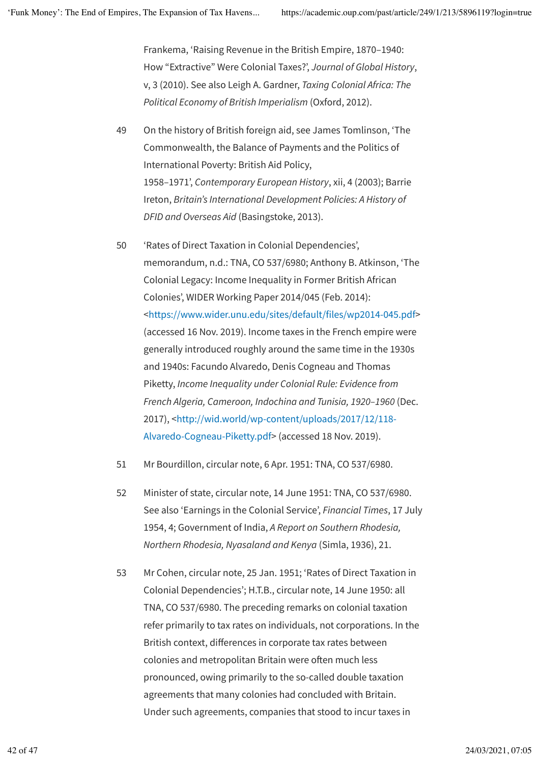Frankema, 'Raising Revenue in the British Empire, 1870–1940: How "Extractive" Were Colonial Taxes?', *Journal of Global History*, v, 3 (2010). See also Leigh A. Gardner, *Taxing Colonial Africa: The Political Economy of British Imperialism* (Oxford, 2012).

- 49 On the history of British foreign aid, see James Tomlinson, 'The Commonwealth, the Balance of Payments and the Politics of International Poverty: British Aid Policy, 1958–1971', *Contemporary European History*, xii, 4 (2003); Barrie Ireton, *Britain's International Development Policies: A History of DFID and Overseas Aid* (Basingstoke, 2013).
- 50 'Rates of Direct Taxation in Colonial Dependencies', memorandum, n.d.: TNA, CO 537/6980; Anthony B. Atkinson, 'The Colonial Legacy: Income Inequality in Former British African Colonies', WIDER Working Paper 2014/045 (Feb. 2014): <https://www.wider.unu.edu/sites/default/files/wp2014-045.pdf> (accessed 16 Nov. 2019). Income taxes in the French empire were generally introduced roughly around the same time in the 1930s and 1940s: Facundo Alvaredo, Denis Cogneau and Thomas Piketty, *Income Inequality under Colonial Rule: Evidence from French Algeria, Cameroon, Indochina and Tunisia, 1920–1960* (Dec. 2017), <http://wid.world/wp-content/uploads/2017/12/118- Alvaredo-Cogneau-Piketty.pdf> (accessed 18 Nov. 2019).
- 51 Mr Bourdillon, circular note, 6 Apr. 1951: TNA, CO 537/6980.
- 52 Minister of state, circular note, 14 June 1951: TNA, CO 537/6980. See also 'Earnings in the Colonial Service', *Financial Times*, 17 July 1954, 4; Government of India, *A Report on Southern Rhodesia, Northern Rhodesia, Nyasaland and Kenya* (Simla, 1936), 21.
- 53 Mr Cohen, circular note, 25 Jan. 1951; 'Rates of Direct Taxation in Colonial Dependencies'; H.T.B., circular note, 14 June 1950: all TNA, CO 537/6980. The preceding remarks on colonial taxation refer primarily to tax rates on individuals, not corporations. In the British context, diferences in corporate tax rates between colonies and metropolitan Britain were often much less pronounced, owing primarily to the so-called double taxation agreements that many colonies had concluded with Britain. Under such agreements, companies that stood to incur taxes in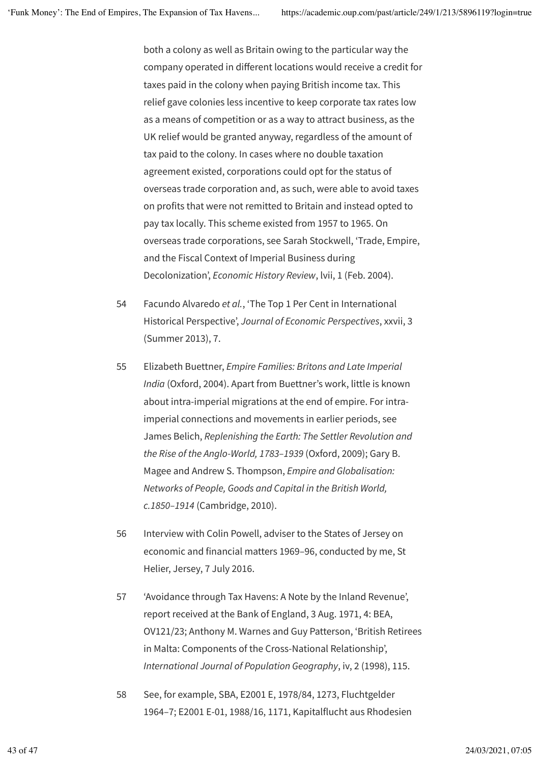both a colony as well as Britain owing to the particular way the company operated in diferent locations would receive a credit for taxes paid in the colony when paying British income tax. This relief gave colonies less incentive to keep corporate tax rates low as a means of competition or as a way to attract business, as the UK relief would be granted anyway, regardless of the amount of tax paid to the colony. In cases where no double taxation agreement existed, corporations could opt for the status of overseas trade corporation and, as such, were able to avoid taxes on profits that were not remitted to Britain and instead opted to pay tax locally. This scheme existed from 1957 to 1965. On overseas trade corporations, see Sarah Stockwell, 'Trade, Empire, and the Fiscal Context of Imperial Business during Decolonization', *Economic History Review*, lvii, 1 (Feb. 2004).

- 54 Facundo Alvaredo *et al.*, 'The Top 1 Per Cent in International Historical Perspective', *Journal of Economic Perspectives*, xxvii, 3 (Summer 2013), 7.
- 55 Elizabeth Buettner, *Empire Families: Britons and Late Imperial India* (Oxford, 2004). Apart from Buettner's work, little is known about intra-imperial migrations at the end of empire. For intraimperial connections and movements in earlier periods, see James Belich, *Replenishing the Earth: The Settler Revolution and the Rise of the Anglo-World, 1783–1939* (Oxford, 2009); Gary B. Magee and Andrew S. Thompson, *Empire and Globalisation: Networks of People, Goods and Capital in the British World, c.1850–1914* (Cambridge, 2010).
- 56 Interview with Colin Powell, adviser to the States of Jersey on economic and financial matters 1969–96, conducted by me, St Helier, Jersey, 7 July 2016.
- 57 'Avoidance through Tax Havens: A Note by the Inland Revenue', report received at the Bank of England, 3 Aug. 1971, 4: BEA, OV121/23; Anthony M. Warnes and Guy Patterson, 'British Retirees in Malta: Components of the Cross-National Relationship', *International Journal of Population Geography*, iv, 2 (1998), 115.
- 58 See, for example, SBA, E2001 E, 1978/84, 1273, Fluchtgelder 1964–7; E2001 E-01, 1988/16, 1171, Kapitalflucht aus Rhodesien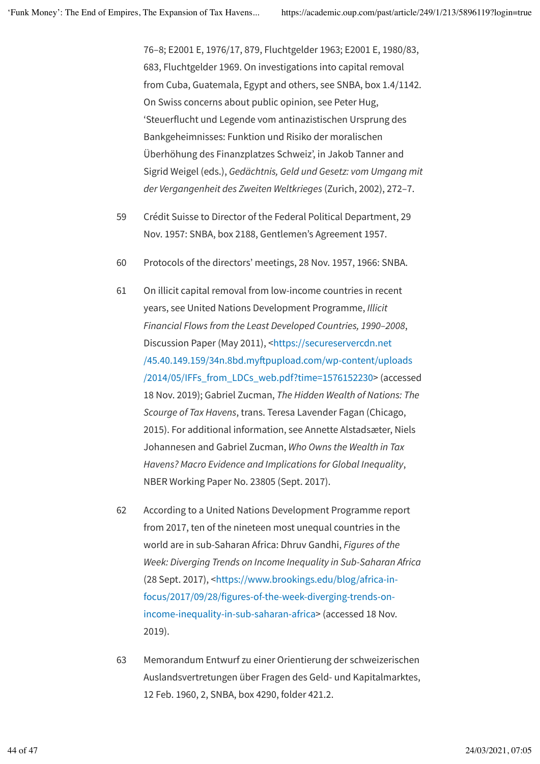76–8; E2001 E, 1976/17, 879, Fluchtgelder 1963; E2001 E, 1980/83, 683, Fluchtgelder 1969. On investigations into capital removal from Cuba, Guatemala, Egypt and others, see SNBA, box 1.4/1142. On Swiss concerns about public opinion, see Peter Hug, 'Steuerflucht und Legende vom antinazistischen Ursprung des Bankgeheimnisses: Funktion und Risiko der moralischen Überhöhung des Finanzplatzes Schweiz', in Jakob Tanner and Sigrid Weigel (eds.), *Gedächtnis, Geld und Gesetz: vom Umgang mit der Vergangenheit des Zweiten Weltkrieges* (Zurich, 2002), 272–7.

- 59 Crédit Suisse to Director of the Federal Political Department, 29 Nov. 1957: SNBA, box 2188, Gentlemen's Agreement 1957.
- 60 Protocols of the directors' meetings, 28 Nov. 1957, 1966: SNBA.
- 61 On illicit capital removal from low-income countries in recent years, see United Nations Development Programme, *Illicit Financial Flows from the Least Developed Countries, 1990–2008*, Discussion Paper (May 2011), <https://secureservercdn.net /45.40.149.159/34n.8bd.myfpupload.com/wp-content/uploads /2014/05/IFFs\_from\_LDCs\_web.pdf?time=1576152230> (accessed 18 Nov. 2019); Gabriel Zucman, *The Hidden Wealth of Nations: The Scourge of Tax Havens*, trans. Teresa Lavender Fagan (Chicago, 2015). For additional information, see Annette Alstadsæter, Niels Johannesen and Gabriel Zucman, *Who Owns the Wealth in Tax Havens? Macro Evidence and Implications for Global Inequality*, NBER Working Paper No. 23805 (Sept. 2017).
- 62 According to a United Nations Development Programme report from 2017, ten of the nineteen most unequal countries in the world are in sub-Saharan Africa: Dhruv Gandhi, *Figures of the Week: Diverging Trends on Income Inequality in Sub-Saharan Africa* (28 Sept. 2017), <https://www.brookings.edu/blog/africa-infocus/2017/09/28/figures-of-the-week-diverging-trends-onincome-inequality-in-sub-saharan-africa> (accessed 18 Nov. 2019).
- 63 Memorandum Entwurf zu einer Orientierung der schweizerischen Auslandsvertretungen über Fragen des Geld- und Kapitalmarktes, 12 Feb. 1960, 2, SNBA, box 4290, folder 421.2.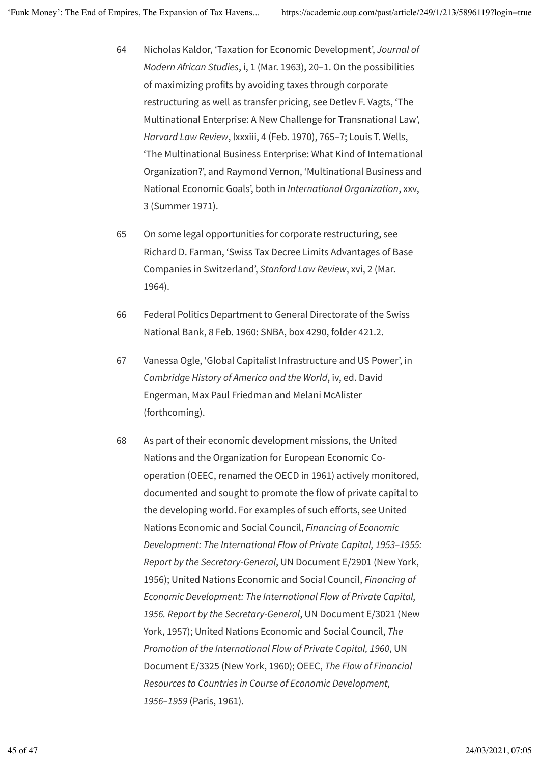- 64 Nicholas Kaldor, 'Taxation for Economic Development', *Journal of Modern African Studies*, i, 1 (Mar. 1963), 20–1. On the possibilities of maximizing profits by avoiding taxes through corporate restructuring as well as transfer pricing, see Detlev F. Vagts, 'The Multinational Enterprise: A New Challenge for Transnational Law', *Harvard Law Review*, lxxxiii, 4 (Feb. 1970), 765–7; Louis T. Wells, 'The Multinational Business Enterprise: What Kind of International Organization?', and Raymond Vernon, 'Multinational Business and National Economic Goals', both in *International Organization*, xxv, 3 (Summer 1971).
- 65 On some legal opportunities for corporate restructuring, see Richard D. Farman, 'Swiss Tax Decree Limits Advantages of Base Companies in Switzerland', *Stanford Law Review*, xvi, 2 (Mar. 1964).
- 66 Federal Politics Department to General Directorate of the Swiss National Bank, 8 Feb. 1960: SNBA, box 4290, folder 421.2.
- 67 Vanessa Ogle, 'Global Capitalist Infrastructure and US Power', in *Cambridge History of America and the World*, iv, ed. David Engerman, Max Paul Friedman and Melani McAlister (forthcoming).
- 68 As part of their economic development missions, the United Nations and the Organization for European Economic Cooperation (OEEC, renamed the OECD in 1961) actively monitored, documented and sought to promote the flow of private capital to the developing world. For examples of such eforts, see United Nations Economic and Social Council, *Financing of Economic Development: The International Flow of Private Capital, 1953–1955: Report by the Secretary-General*, UN Document E/2901 (New York, 1956); United Nations Economic and Social Council, *Financing of Economic Development: The International Flow of Private Capital, 1956. Report by the Secretary-General*, UN Document E/3021 (New York, 1957); United Nations Economic and Social Council, *The Promotion of the International Flow of Private Capital, 1960*, UN Document E/3325 (New York, 1960); OEEC, *The Flow of Financial Resources to Countries in Course of Economic Development, 1956–1959* (Paris, 1961).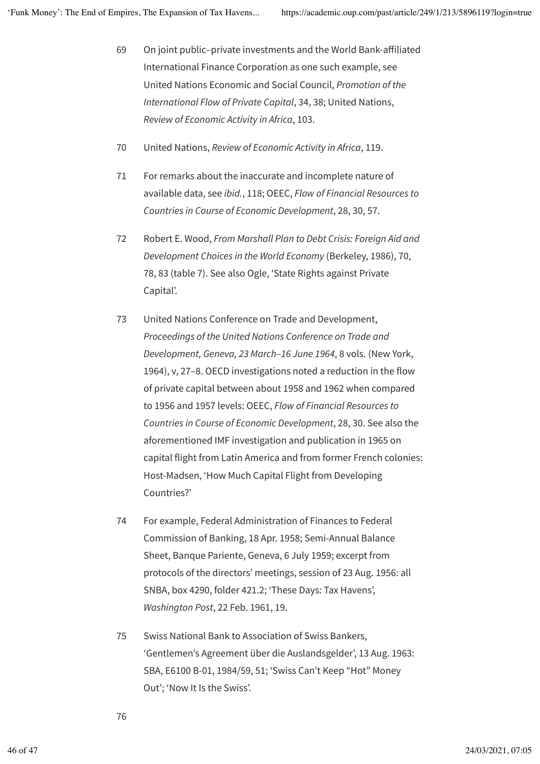- 69 On joint public–private investments and the World Bank-afiliated International Finance Corporation as one such example, see United Nations Economic and Social Council, *Promotion of the International Flow of Private Capital*, 34, 38; United Nations, *Review of Economic Activity in Africa*, 103.
- 70 United Nations, *Review of Economic Activity in Africa*, 119.
- 71 For remarks about the inaccurate and incomplete nature of available data, see *ibid.*, 118; OEEC, *Flow of Financial Resources to Countries in Course of Economic Development*, 28, 30, 57.
- 72 Robert E. Wood, *From Marshall Plan to Debt Crisis: Foreign Aid and Development Choices in the World Economy* (Berkeley, 1986), 70, 78, 83 (table 7). See also Ogle, 'State Rights against Private Capital'.
- 73 United Nations Conference on Trade and Development, *Proceedings of the United Nations Conference on Trade and Development, Geneva, 23 March–16 June 1964*, 8 vols. (New York, 1964), v, 27–8. OECD investigations noted a reduction in the flow of private capital between about 1958 and 1962 when compared to 1956 and 1957 levels: OEEC, *Flow of Financial Resources to Countries in Course of Economic Development*, 28, 30. See also the aforementioned IMF investigation and publication in 1965 on capital flight from Latin America and from former French colonies: Host-Madsen, 'How Much Capital Flight from Developing Countries?'
- 74 For example, Federal Administration of Finances to Federal Commission of Banking, 18 Apr. 1958; Semi-Annual Balance Sheet, Banque Pariente, Geneva, 6 July 1959; excerpt from protocols of the directors' meetings, session of 23 Aug. 1956: all SNBA, box 4290, folder 421.2; 'These Days: Tax Havens', *Washington Post*, 22 Feb. 1961, 19.
- 75 Swiss National Bank to Association of Swiss Bankers, 'Gentlemen's Agreement über die Auslandsgelder', 13 Aug. 1963: SBA, E6100 B-01, 1984/59, 51; 'Swiss Can't Keep "Hot" Money Out'; 'Now It Is the Swiss'.